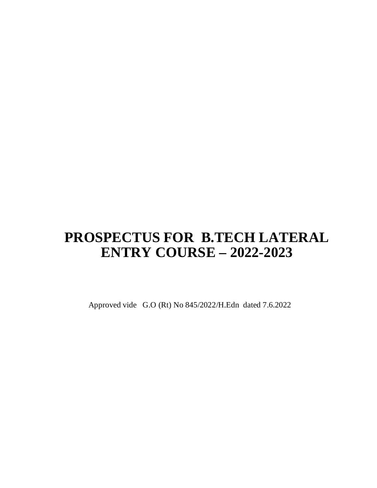# **PROSPECTUS FOR B.TECH LATERAL ENTRY COURSE – 2022-2023**

Approved vide G.O (Rt) No 845/2022/H.Edn dated 7.6.2022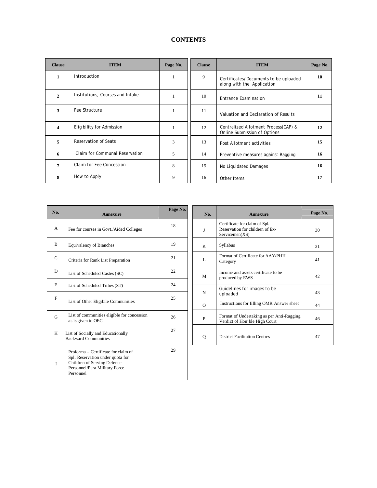# **CONTENTS**

| <b>Clause</b>       | <b>ITEM</b>                      | Page No. | <b>Clause</b> | <b>ITEM</b>                                                          | Page No. |
|---------------------|----------------------------------|----------|---------------|----------------------------------------------------------------------|----------|
| $\mathbf{1}$        | Introduction                     | 1        | 9             | Certificates/Documents to be uploaded<br>along with the Application  | 10       |
| $\overline{2}$      | Institutions, Courses and Intake | 1        | 10            | Entrance Examination                                                 | 11       |
| 3                   | Fee Structure                    | 1        | 11            | Valuation and Declaration of Results                                 |          |
| $\overline{\bf{4}}$ | Eligibility for Admission        | 1        | 12            | Centralized Allotment Process(CAP) &<br>Online Submission of Options | 12       |
| 5                   | Reservation of Seats             | 3        | 13            | Post Allotment activities                                            | 15       |
| 6                   | Claim for Communal Reservation   | 5        | 14            | Preventive measures against Ragging                                  | 16       |
| $\overline{7}$      | Claim for Fee Concession         | 8        | 15            | No Liquidated Damages                                                | 16       |
| 8                   | How to Apply                     | 9        | 16            | Other Items                                                          | 17       |

| No.          | Annexure                                                                                                                                             | Page No. |
|--------------|------------------------------------------------------------------------------------------------------------------------------------------------------|----------|
| A            | Fee for courses in Govt./Aided Colleges                                                                                                              | 18       |
| R            | <b>Equivalency of Branches</b>                                                                                                                       | 19       |
| $\mathsf{C}$ | Criteria for Rank List Preparation                                                                                                                   | 21       |
| D            | List of Scheduled Castes (SC)                                                                                                                        | 22       |
| E            | List of Scheduled Tribes (ST)                                                                                                                        | 24       |
| F            | List of Other Eligibile Communities                                                                                                                  | 25       |
| G            | List of communities eligible for concession<br>as is given to OEC                                                                                    | 26       |
| H            | List of Socially and Educationally<br><b>Backward Communities</b>                                                                                    | 27       |
| L            | Proforma – Certificate for claim of<br>Spl. Reservation under quota for<br>Children of Serving Defence<br>Personnel/Para Military Force<br>Personnel | 29       |

| No.      | <b>Annexure</b>                                                                    | Page No. |
|----------|------------------------------------------------------------------------------------|----------|
| J        | Certificate for claim of Spl.<br>Reservation for children of Ex-<br>Servicemen(XS) | 30       |
| K        | Syllabus                                                                           | 31       |
| L        | Format of Certificate for AAY/PHH<br>Category                                      | 41       |
| M        | Income and assets certificate to be<br>produced by EWS                             | 42       |
| N        | Guidelines for images to be<br>uploaded                                            | 43       |
| $\Omega$ | Instructions for filling OMR Answer sheet                                          | 44       |
| P        | Format of Undertaking as per Anti-Ragging<br>Verdict of Hon'ble High Court         | 46       |
| о        | <b>District Facilitation Centres</b>                                               | 47       |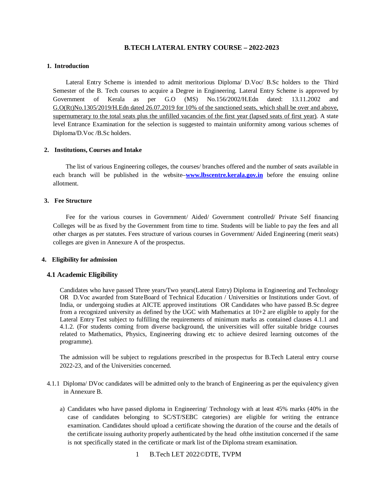# **B.TECH LATERAL ENTRY COURSE – 2022-2023**

### **1. Introduction**

Lateral Entry Scheme is intended to admit meritorious Diploma/ D.Voc/ B.Sc holders to the Third Semester of the B. Tech courses to acquire a Degree in Engineering. Lateral Entry Scheme is approved by Government of Kerala as per G.O (MS) No.156/2002/H.Edn dated: 13.11.2002 and G.O(Rt)No.1305/2019/H.Edn dated 26.07.2019 for 10% of the sanctioned seats, which shall be over and above, supernumerary to the total seats plus the unfilled vacancies of the first year (lapsed seats of first year). A state level Entrance Examination for the selection is suggested to maintain uniformity among various schemes of Diploma/D.Voc /B.Sc holders.

#### **2. Institutions, Courses and Intake**

The list of various Engineering colleges, the courses/ branches offered and the number of seats available in each branch will be published in the website–**[www.lbscentre.kerala.gov.in](http://www.lbscentre.kerala.gov.in)** before the ensuing online allotment.

# **3. Fee Structure**

Fee for the various courses in Government/ Aided/ Government controlled/ Private Self financing Colleges will be as fixed by the Government from time to time. Students will be liable to pay the fees and all other charges as per statutes. Fees structure of various courses in Government/ Aided Engineering (merit seats) colleges are given in Annexure A of the prospectus.

#### **4. Eligibility for admission**

# **4.1 Academic Eligibility**

Candidates who have passed Three years/Two years(Lateral Entry) Diploma in Engineering and Technology OR D.Voc awarded from StateBoard of Technical Education / Universities or Institutions under Govt. of India, or undergoing studies at AICTE approved institutions OR Candidates who have passed B.Sc degree from a recognized university as defined by the UGC with Mathematics at 10+2 are eligible to apply for the Lateral Entry Test subject to fulfilling the requirements of minimum marks as contained clauses 4.1.1 and 4.1.2. (For students coming from diverse background, the universities will offer suitable bridge courses related to Mathematics, Physics, Engineering drawing etc to achieve desired learning outcomes of the programme).

The admission will be subject to regulations prescribed in the prospectus for B.Tech Lateral entry course 2022-23, and of the Universities concerned.

- 4.1.1 Diploma/ DVoc candidates will be admitted only to the branch of Engineering as per the equivalency given in Annexure B.
	- a) Candidates who have passed diploma in Engineering/ Technology with at least 45% marks (40% in the case of candidates belonging to SC/ST/SEBC categories) are eligible for writing the entrance examination. Candidates should upload a certificate showing the duration of the course and the details of the certificate issuing authority properly authenticated by the head ofthe institution concerned if the same is not specifically stated in the certificate or mark list of the Diploma stream examination.
		- 1 B.Tech LET 2022©DTE, TVPM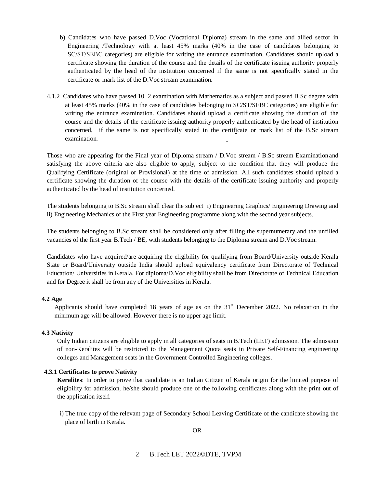- b) Candidates who have passed D.Voc (Vocational Diploma) stream in the same and allied sector in Engineering /Technology with at least 45% marks (40% in the case of candidates belonging to SC/ST/SEBC categories) are eligible for writing the entrance examination. Candidates should upload a certificate showing the duration of the course and the details of the certificate issuing authority properly authenticated by the head of the institution concerned if the same is not specifically stated in the certificate or mark list of the D.Voc stream examination.
- 4.1.2 Candidates who have passed 10+2 examination with Mathematics as a subject and passed B Sc degree with at least 45% marks (40% in the case of candidates belonging to SC/ST/SEBC categories) are eligible for writing the entrance examination. Candidates should upload a certificate showing the duration of the course and the details of the certificate issuing authority properly authenticated by the head of institution concerned, if the same is not specifically stated in the certificate or mark list of the B.Sc stream examination.

Those who are appearing for the Final year of Diploma stream / D.Voc stream / B.Sc stream Examination and satisfying the above criteria are also eligible to apply, subject to the condition that they will produce the Qualifying Certificate (original or Provisional) at the time of admission. All such candidates should upload a certificate showing the duration of the course with the details of the certificate issuing authority and properly authenticated by the head of institution concerned.

The students belonging to B.Sc stream shall clear the subject i) Engineering Graphics/ Engineering Drawing and ii) Engineering Mechanics of the First year Engineering programme along with the second year subjects.

The students belonging to B.Sc stream shall be considered only after filling the supernumerary and the unfilled vacancies of the first year B.Tech / BE, with students belonging to the Diploma stream and D.Voc stream.

Candidates who have acquired/are acquiring the eligibility for qualifying from Board/University outside Kerala State or Board/University outside India should upload equivalency certificate from Directorate of Technical Education/ Universities in Kerala. For diploma/D.Voc eligibility shall be from Directorate of Technical Education and for Degree it shall be from any of the Universities in Kerala.

#### **4.2 Age**

Applicants should have completed 18 years of age as on the  $31<sup>st</sup>$  December 2022. No relaxation in the minimum age will be allowed. However there is no upper age limit.

#### **4.3 Nativity**

Only Indian citizens are eligible to apply in all categories of seats in B.Tech (LET) admission. The admission of non-Keralites will be restricted to the Management Quota seats in Private Self-Financing engineering colleges and Management seats in the Government Controlled Engineering colleges.

#### **4.3.1 Certificates to prove Nativity**

**Keralites**: In order to prove that candidate is an Indian Citizen of Kerala origin for the limited purpose of eligibility for admission, he/she should produce one of the following certificates along with the print out of the application itself.

i) The true copy of the relevant page of Secondary School Leaving Certificate of the candidate showing the place of birth in Kerala.

OR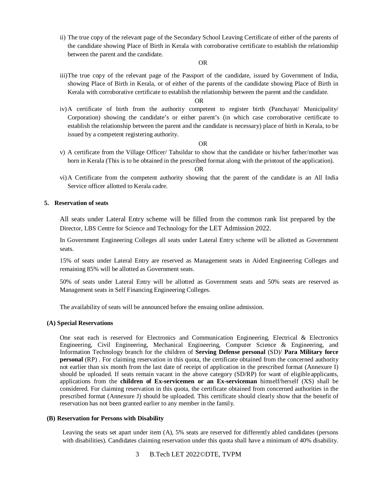ii) The true copy of the relevant page of the Secondary School Leaving Certificate of either of the parents of the candidate showing Place of Birth in Kerala with corroborative certificate to establish the relationship between the parent and the candidate.

#### OR

iii)The true copy of the relevant page of the Passport of the candidate, issued by Government of India, showing Place of Birth in Kerala, or of either of the parents of the candidate showing Place of Birth in Kerala with corroborative certificate to establish the relationship between the parent and the candidate.

#### OR

iv)A certificate of birth from the authority competent to register birth (Panchayat/ Municipality/ Corporation) showing the candidate's or either parent's (in which case corroborative certificate to establish the relationship between the parent and the candidate is necessary) place of birth in Kerala, to be issued by a competent registering authority.

#### OR

v) A certificate from the Village Officer/ Tahsildar to show that the candidate or his/her father/mother was born in Kerala (This is to be obtained in the prescribed format along with the printout of the application).

### OR

vi)A Certificate from the competent authority showing that the parent of the candidate is an All India Service officer allotted to Kerala cadre.

#### **5. Reservation of seats**

All seats under Lateral Entry scheme will be filled from the common rank list prepared by the Director, LBS Centre for Science and Technology for the LET Admission 2022.

In Government Engineering Colleges all seats under Lateral Entry scheme will be allotted as Government seats.

15% of seats under Lateral Entry are reserved as Management seats in Aided Engineering Colleges and remaining 85% will be allotted as Government seats.

50% of seats under Lateral Entry will be allotted as Government seats and 50% seats are reserved as Management seats in Self Financing Engineering Colleges.

The availability of seats will be announced before the ensuing online admission.

#### **(A) Special Reservations**

One seat each is reserved for Electronics and Communication Engineering, Electrical & Electronics Engineering, Civil Engineering, Mechanical Engineering, Computer Science & Engineering, and Information Technology branch for the children of **Serving Defense personal** (SD)/ **Para Military force personal (RP)**. For claiming reservation in this quota, the certificate obtained from the concerned authority not earlier than six month from the last date of receipt of application in the prescribed format (Annexure I) should be uploaded. If seats remain vacant in the above category (SD/RP) for want of eligible applicants, applications from the **children of Ex-servicemen or an Ex-serviceman** himself/herself (XS) shall be considered. For claiming reservation in this quota, the certificate obtained from concerned authorities in the prescribed format (Annexure J) should be uploaded. This certificate should clearly show that the benefit of reservation has not been granted earlier to any member in the family.

#### **(B) Reservation for Persons with Disability**

Leaving the seats set apart under item (A), 5% seats are reserved for differently abled candidates (persons with disabilities). Candidates claiming reservation under this quota shall have a minimum of 40% disability.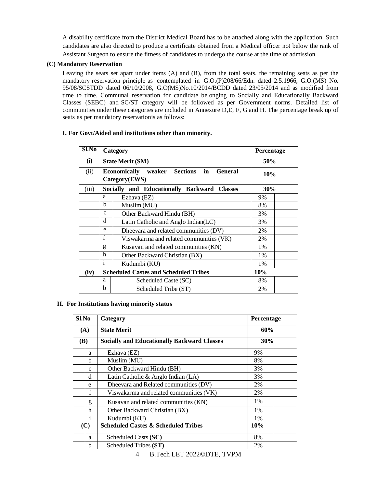A disability certificate from the District Medical Board has to be attached along with the application. Such candidates are also directed to produce a certificate obtained from a Medical officer not below the rank of Assistant Surgeon to ensure the fitness of candidates to undergo the course at the time of admission.

### **(C) Mandatory Reservation**

Leaving the seats set apart under items (A) and (B), from the total seats, the remaining seats as per the mandatory reservation principle as contemplated in G.O.(P)208/66/Edn. dated 2.5.1966, G.O.(MS) No. 95/08/SCSTDD dated 06/10/2008, G.O(MS)No.10/2014/BCDD dated 23/05/2014 and as modified from time to time. Communal reservation for candidate belonging to Socially and Educationally Backward Classes (SEBC) and SC/ST category will be followed as per Government norms. Detailed list of communities under these categories are included in Annexure D,E, F, G and H. The percentage break up of seats as per mandatory reservationis as follows:

# **I. For Govt/Aided and institutions other than minority.**

| $Sl$ . No |              | Category                                                                     | Percentage |  |
|-----------|--------------|------------------------------------------------------------------------------|------------|--|
| (i)       |              | <b>State Merit (SM)</b>                                                      | 50%        |  |
| (ii)      |              | weaker Sections in<br><b>Economically</b><br><b>General</b><br>Category(EWS) | 10%        |  |
| (iii)     |              | Socially and Educationally Backward Classes                                  | 30%        |  |
|           | a            | Ezhava (EZ)                                                                  | 9%         |  |
|           | b            | Muslim (MU)                                                                  | 8%         |  |
|           | $\mathbf{c}$ | Other Backward Hindu (BH)                                                    | 3%         |  |
|           | d            | Latin Catholic and Anglo Indian(LC)                                          | 3%         |  |
|           | e            | Dheevara and related communities (DV)                                        | 2%         |  |
|           | f            | Viswakarma and related communities (VK)                                      | 2%         |  |
|           | g            | Kusavan and related communities (KN)                                         | 1%         |  |
|           | h            | Other Backward Christian (BX)                                                | 1%         |  |
|           | $\mathbf{i}$ | Kudumbi (KU)<br>1%                                                           |            |  |
| (iv)      |              | <b>Scheduled Castes and Scheduled Tribes</b>                                 | 10%        |  |
|           | a            | Scheduled Caste (SC)                                                         | 8%         |  |
|           | $\mathbf b$  | Scheduled Tribe (ST)                                                         | 2%         |  |

#### **II. For Institutions having minority status**

| Sl.No        | Category                                           | Percentage |  |
|--------------|----------------------------------------------------|------------|--|
| (A)          | <b>State Merit</b>                                 | 60%        |  |
| <b>(B)</b>   | <b>Socially and Educationally Backward Classes</b> | 30%        |  |
| a            | Ezhava (EZ)                                        | 9%         |  |
| b            | Muslim (MU)                                        | 8%         |  |
| $\mathbf{c}$ | Other Backward Hindu (BH)                          | 3%         |  |
| d            | Latin Catholic & Anglo Indian (LA)                 | 3%         |  |
| e            | Dheevara and Related communities (DV)              | 2%         |  |
| f            | Viswakarma and related communities (VK)            | 2%         |  |
| g            | Kusavan and related communities (KN)               | 1%         |  |
| h            | Other Backward Christian (BX)                      | $1\%$      |  |
| $\mathbf{i}$ | Kudumbi (KU)                                       | $1\%$      |  |
| (C)          | <b>Scheduled Castes &amp; Scheduled Tribes</b>     | <b>10%</b> |  |
| a            | Scheduled Casts (SC)                               | 8%         |  |
| h            | Scheduled Tribes (ST)                              | 2%         |  |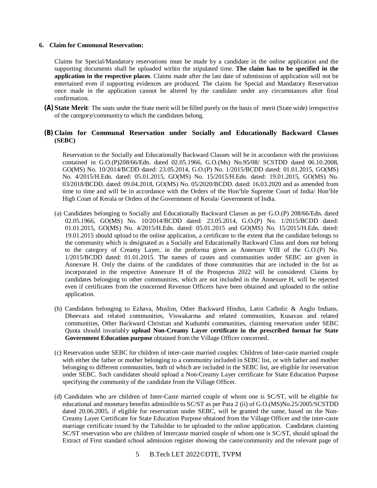#### **6. Claim for Communal Reservation:**

Claims for Special/Mandatory reservations must be made by a candidate in the online application and the supporting documents shall be uploaded within the stipulated time. **The claim has to be specified in the application in the respective places**. Claims made after the last date of submission of application will not be entertained even if supporting evidences are produced. The claims for Special and Mandatory Reservation once made in the application cannot be altered by the candidate under any circumstances after final confirmation.

**(A) State Merit**: The seats under the State merit will be filled purely on the basis of merit (State wide) irrespective of the category/community to which the candidates belong.

# **(B) Claim for Communal Reservation under Socially and Educationally Backward Classes (SEBC)**

Reservation to the Socially and Educationally Backward Classes will be in accordance with the provisions contained in G.O.(P)208/66/Edn. dated 02.05.1966, G.O.(Ms) No.95/08/ SCSTDD dated 06.10.2008, GO(MS) No. 10/2014/BCDD dated: 23.05.2014, G.O.(P) No. 1/2015/BCDD dated: 01.01.2015, GO(MS) No. 4/2015/H.Edn. dated: 05.01.2015, GO(MS) No. 15/2015/H.Edn. dated: 19.01.2015, GO(MS) No. 03/2018/BCDD. dated: 09.04.2018, GO(MS) No. 05/2020/BCDD. dated: 16.03.2020 and as amended from time to time and will be in accordance with the Orders of the Hon'ble Supreme Court of India/ Hon'ble High Court of Kerala or Orders of the Government of Kerala/ Government of India.

- (a) Candidates belonging to Socially and Educationally Backward Classes as per G.O.(P) 208/66/Edn. dated 02.05.1966, GO(MS) No. 10/2014/BCDD dated: 23.05.2014, G.O.(P) No. 1/2015/BCDD dated: 01.01.2015, GO(MS) No. 4/2015/H.Edn. dated: 05.01.2015 and GO(MS) No. 15/2015/H.Edn. dated: 19.01.2015 should upload to the online application, a certificate to the extent that the candidate belongs to the community which is designated as a Socially and Educationally Backward Class and does not belong to the category of Creamy Layer, in the proforma given as Annexure VIII of the G.O.(P) No. 1/2015/BCDD dated: 01.01.2015. The names of castes and communities under SEBC are given in Annexure H. Only the claims of the candidates of those communities that are included in the list as incorporated in the respective Annexure H of the Prospectus 2022 will be considered. Claims by candidates belonging to other communities, which are not included in the Annexure H, will be rejected even if certificates from the concerned Revenue Officers have been obtained and uploaded to the online application.
- (b) Candidates belonging to Ezhava, Muslim, Other Backward Hindus, Latin Catholic & Anglo Indians, Dheevara and related communities, Viswakarma and related communities, Kusavan and related communities, Other Backward Christian and Kudumbi communities, claiming reservation under SEBC Quota should invariably **upload Non-Creamy Layer certificate in the prescribed format for State Government Education purpose** obtained from the Village Officer concerned.
- (c) Reservation under SEBC for children of inter-caste married couples: Children of Inter-caste married couple with either the father or mother belonging to a community included in SEBC list, or with father and mother belonging to different communities, both of which are included in the SEBC list, are eligible for reservation under SEBC. Such candidates should upload a Non-Creamy Layer certificate for State Education Purpose specifying the community of the candidate from the Village Officer.
- (d) Candidates who are children of Inter-Caste married couple of whom one is SC/ST, will be eligible for educational and monetary benefits admissible to SC/ST as per Para 2 (ii) of G.O.(MS)No.25/2005/SCSTDD dated 20.06.2005, if eligible for reservation under SEBC, will be granted the same, based on the Non-Creamy Layer Certificate for State Education Purpose obtained from the Village Officer and the inter-caste marriage certificate issued by the Tahsildar to be uploaded to the online application. Candidates claiming SC/ST reservation who are children of Intercaste married couple of whom one is SC/ST, should upload the Extract of First standard school admission register showing the caste/community and the relevant page of
	- 5 B.Tech LET 2022©DTE, TVPM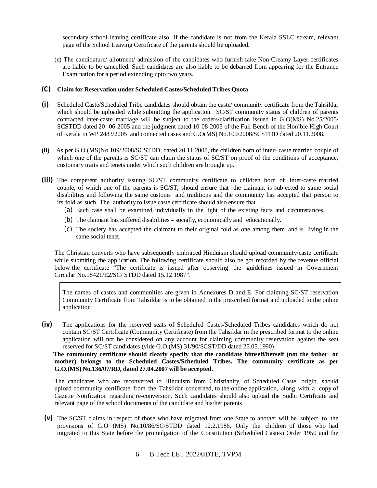secondary school leaving certificate also. If the candidate is not from the Kerala SSLC stream, relevant page of the School Leaving Certificate of the parents should be uploaded.

(e) The candidature/ allotment/ admission of the candidates who furnish fake Non-Creamy Layer certificates are liable to be cancelled. Such candidates are also liable to be debarred from appearing for the Entrance Examination for a period extending upto two years.

#### *(C)* **Claim for Reservation under Scheduled Castes/Scheduled Tribes Quota**

- **(i)** Scheduled Caste/Scheduled Tribe candidates should obtain the caste/ community certificate from the Tahsildar which should be uploaded while submitting the application. SC/ST community status of children of parents contracted inter-caste marriage will be subject to the orders/clarification issued in G.O(MS) No.25/2005/ SCSTDD dated 20- 06-2005 and the judgment dated 10-08-2005 of the Full Bench of the Hon'ble High Court of Kerala in WP 2483/2005 and connected cases and G.O(MS) No.109/2008/SCSTDD dated 20.11.2008.
- **(ii)** As per G.O.(MS)No.109/2008/SCSTDD, dated 20.11.2008, the children born of inter- caste married couple of which one of the parents is SC/ST can claim the status of SC/ST on proof of the conditions of acceptance, customary traits and tenets under which such children are brought up.
- **(iii)** The competent authority issuing SC/ST community certificate to children born of inter-caste married couple, of which one of the parents is SC/ST, should ensure that the claimant is subjected to same social disabilities and following the same customs and traditions and the community has accepted that person to its fold as such. The authority to issue caste certificate should also ensure that
	- (a) Each case shall be examined individually in the light of the existing facts and circumstances.
	- (b) The claimant has suffered disabilities socially, economically and educationally.
	- (c) The society has accepted the claimant to their original fold as one among them and is living in the same social tenet.

The Christian converts who have subsequently embraced Hinduism should upload community/caste certificate while submiting the application. The following certificate should also be got recorded by the revenue official below the certificate "The certificate is issued after observing the guidelines issued in Government Circular No.18421/E2/SC/ STDD dated 15.12.1987".

The names of castes and communities are given in Annexures D and E. For claiming SC/ST reservation Community Certificate from Tahsildar is to be obtained in the prescribed format and uploaded to the online application

**(iv)** The applications for the reserved seats of Scheduled Castes/Scheduled Tribes candidates which do not contain SC/ST Certificate (Community Certificate) from the Tahsildar in the prescribed format to the online application will not be considered on any account for claiming community reservation against the seat reserved for SC/ST candidates (vide G.O.(MS) 31/90/SCST/DD dated 25.05.1990).

**The community certificate should clearly specify that the candidate himself/herself (not the father or mother) belongs to the Scheduled Castes/Scheduled Tribes. The community certificate as per G.O.(MS) No.136/07/RD, dated 27.04.2007 will be accepted.**

The candidates who are reconverted to Hinduism from Christianity, of Scheduled Caste origin, should upload community certificate from the Tahsildar concerned, to the online application, along with a copy of Gazette Notification regarding re-conversion. Such candidates should also upload the Sudhi Certificate and relevant page of the school documents of the candidate and his/her parents

- **(v)** The SC/ST claims in respect of those who have migrated from one State to another will be subject to the provisions of G.O (MS) No.10/86/SC/STDD dated 12.2.1986. Only the children of those who had migrated to this State before the promulgation of the Constitution (Scheduled Castes) Order 1950 and the
	- 6 B.Tech LET 2022©DTE, TVPM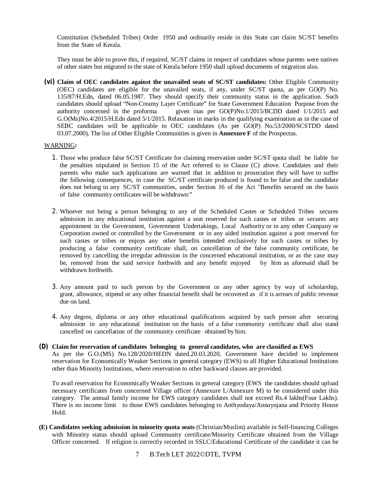Constitution (Scheduled Tribes) Order 1950 and ordinarily reside in this State can claim SC/ST benefits from the State of Kerala.

They must be able to prove this, if required. SC/ST claims in respect of candidates whose parents were natives of other states but migrated to the state of Kerala before 1950 shall upload documents of migration also.

**(vi) Claim of OEC candidates against the unavailed seats of SC/ST candidates:** Other Eligible Community (OEC) candidates are eligible for the unavailed seats, if any, under SC/ST quota, as per GO(P) No. 135/87/H.Edn, dated 06.05.1987. They should specify their community status in the application. Such candidates should upload "Non-Creamy Layer Certificate" for State Government Education Purpose from the authority concerned in the proforma given inas per GO(P)No.1/2015/BCDD dated 1/1/2015 and G.O(Ms)No.4/2015/H.Edn dated 5/1/2015. Relaxation in marks in the qualifying examination as in the case of SEBC candidates will be applicable to OEC candidates (As per GO(P) No.53/2000/SCSTDD dated 03.07.2000). The list of Other Eligible Communities is given in **Annexure F** of the Prospectus.

#### WARNING**:**

- 1. Those who produce false SC/ST Certificate for claiming reservation under SC/ST quota shall be liable for the penalties stipulated in Section 15 of the Act referred to in Clause (C) above. Candidates and their parents who make such applications are warned that in addition to prosecution they will have to suffer the following consequences, in case the SC/ST certificate produced is found to be false and the candidate does not belong to any SC/ST communities, under Section 16 of the Act "Benefits secured on the basis of false community certificates will be withdrawn:"
- 2. Whoever not being a person belonging to any of the Scheduled Castes or Scheduled Tribes secures admission in any educational institution against a seat reserved for such castes or tribes or secures any appointment in the Government, Government Undertakings, Local Authority or in any other Company or Corporation owned or controlled by the Government or in any aided institution against a post reserved for such castes or tribes or enjoys any other benefits intended exclusively for such castes or tribes by producing a false community certificate shall, on cancellation of the false community certificate, be removed by cancelling the irregular admission in the concerned educational institution, or as the case may be, removed from the said service forthwith and any benefit enjoyed by him as aforesaid shall be withdrawn forthwith.
- 3. Any amount paid to such person by the Government or any other agency by way of scholarship, grant, allowance, stipend or any other financial benefit shall be recovered as if it is arrears of public revenue due on land.
- 4. Any degree, diploma or any other educational qualifications acquired by such person after securing admission in any educational institution on the basis of a false community certificate shall also stand cancelled on cancellation of the community certificate obtained by him.
- *(D)* **Claim for reservation of candidates belonging to general candidates, who are classified as EWS** As per the G.O.(MS) No.128/2020/HEDN dated.20.03.2020, Government have decided to implement reservation for Economically Weaker Sections in general category (EWS) to all Higher Educational Institutions other than Minority Institutions, where reservation to other backward classes are provided.

To avail reservation for Economically Weaker Sections in general category (EWS the candidates should upload necessary certificates from concerned Village officer (Annexure L/Annexure M) to be considered under this category. The annual family income for EWS category candidates shall not exceed Rs.4 lakhs(Four Lakhs). There is no income limit to those EWS candidates belonging to Anthyodaya/Annayojana and Priority House Hold.

- **(E) Candidates seeking admission in minority quota seats** (Christian/Muslim) available in Self-financing Colleges with Minority status should upload Community certificate/Minority Certificate obtained from the Village Officer concerned. If religion is correctly recorded in SSLC/Educational Certificate of the candidate it can be
	- 7 B.Tech LET 2022©DTE, TVPM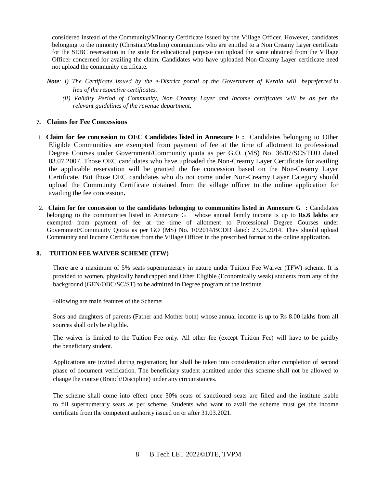considered instead of the Community/Minority Certificate issued by the Village Officer. However, candidates belonging to the minority (Christian/Muslim) communities who are entitled to a Non Creamy Layer certificate for the SEBC reservation in the state for educational purpose can upload the same obtained from the Village Officer concerned for availing the claim. Candidates who have uploaded Non-Creamy Layer certificate need not upload the community certificate.

- *Note: i) The Certificate issued by the e-District portal of the Government of Kerala will bepreferred in lieu of the respective certificates.*
	- *(ii) Validity Period of Community, Non Creamy Layer and Income certificates will be as per the relevant guidelines of the revenue department.*

# **7. Claims for Fee Concessions**

- 1. **Claim for fee concession to OEC Candidates listed in Annexure F :** Candidates belonging to Other Eligible Communities are exempted from payment of fee at the time of allotment to professional Degree Courses under Government/Community quota as per G.O. (MS) No. 36/07/SCSTDD dated 03.07.2007. Those OEC candidates who have uploaded the Non-Creamy Layer Certificate for availing the applicable reservation will be granted the fee concession based on the Non-Creamy Layer Certificate. But those OEC candidates who do not come under Non-Creamy Layer Category should upload the Community Certificate obtained from the village officer to the online application for availing the fee concession**.**
- 2. **Claim for fee concession to the candidates belonging to communities listed in Annexure G :** Candidates belonging to the communities listed in Annexure G whose annual family income is up to **Rs.6 lakhs** are exempted from payment of fee at the time of allotment to Professional Degree Courses under Government/Community Quota as per GO (MS) No. 10/2014/BCDD dated: 23.05.2014. They should upload Community and Income Certificates from the Village Officer in the prescribed format to the online application.

#### **8. TUITION FEE WAIVER SCHEME (TFW)**

There are a maximum of 5% seats supernumerary in nature under Tuition Fee Waiver (TFW) scheme. It is provided to women, physically handicapped and Other Eligible (Economically weak) students from any of the background (GEN/OBC/SC/ST) to be admitted in Degree program of the institute.

Following are main features of the Scheme:

Sons and daughters of parents (Father and Mother both) whose annual income is up to Rs 8.00 lakhs from all sources shall only be eligible.

The waiver is limited to the Tuition Fee only. All other fee (except Tuition Fee) will have to be paidby the beneficiary student.

Applications are invited during registration; but shall be taken into consideration after completion of second phase of document verification. The beneficiary student admitted under this scheme shall not be allowed to change the course (Branch/Discipline) under any circumstances.

The scheme shall come into effect once 30% seats of sanctioned seats are filled and the institute isable to fill supernumerary seats as per scheme. Students who want to avail the scheme must get the income certificate from the competent authority issued on or after 31.03.2021.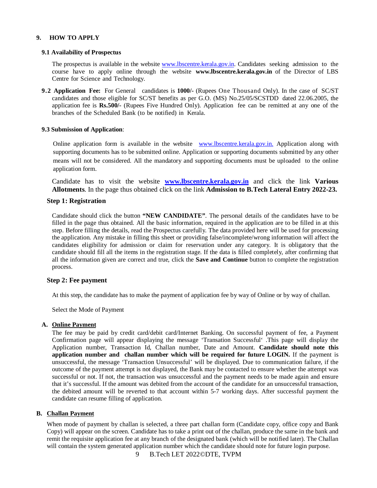# **9. HOW TO APPLY**

#### **9.1 Availability of Prospectus**

The prospectus is available in the website [www.lbscentre.kerala.gov.in.](http://www.lbscentre.kerala.gov.in.) Candidates seeking admission to the course have to apply online through the website **[www.lbscentre.kerala.gov.in](http://www.lbscentre.kerala.gov.in)** of the Director of LBS Centre for Science and Technology.

**9.2 Application Fee:** For General candidates is **1000/-** (Rupees One Thousand Only). In the case of SC/ST candidates and those eligible for SC/ST benefits as per G.O. (MS) No.25/05/SCSTDD dated 22.06.2005, the application fee is **Rs.500/-** (Rupees Five Hundred Only). Application fee can be remitted at any one of the branches of the Scheduled Bank (to be notified) in Kerala.

#### **9.3 Submission of Application**:

Online application form is available in the website [www.lbscentre.kerala.gov.in.](http://www.lbscentre.kerala.gov.in.) Application along with supporting documents has to be submitted online. Application or supporting documents submitted by any other means will not be considered. All the mandatory and supporting documents must be uploaded to the online application form.

Candidate has to visit the website **[www.lbscentre.kerala.gov.in](http://www.lbscentre.kerala.gov.in)** and click the link **Various Allotments**. In the page thus obtained click on the link **Admission to B.Tech Lateral Entry 2022-23.**

# **Step 1: Registration**

Candidate should click the button **"NEW CANDIDATE"**. The personal details of the candidates have to be filled in the page thus obtained. All the basic information, required in the application are to be filled in at this step. Before filling the details, read the Prospectus carefully. The data provided here will be used for processing the application. Any mistake in filling this sheet or providing false/incomplete/wrong information will affect the candidates eligibility for admission or claim for reservation under any category. It is obligatory that the candidate should fill all the items in the registration stage. If the data is filled completely, after confirming that all the information given are correct and true, click the **Save and Continue** button to complete the registration process.

#### **Step 2: Fee payment**

At this step, the candidate has to make the payment of application fee by way of Online or by way of challan.

Select the Mode of Payment

#### **A. Online Payment**

The fee may be paid by credit card/debit card/Internet Banking. On successful payment of fee, a Payment Confirmation page will appear displaying the message 'Transation Successful' .This page will display the Application number, Transaction Id, Challan number, Date and Amount. **Candidate should note this application number and challan number which will be required for future LOGIN.** If the payment is unsuccessful, the message 'Transaction Unsuccessful' will be displayed. Due to communication failure, if the outcome of the payment attempt is not displayed, the Bank may be contacted to ensure whether the attempt was successful or not. If not, the transaction was unsuccessful and the payment needs to be made again and ensure that it's successful. If the amount was debited from the account of the candidate for an unsuccessful transaction, the debited amount will be reverted to that account within 5-7 working days. After successful payment the candidate can resume filling of application.

#### **B. Challan Payment**

When mode of payment by challan is selected, a three part challan form (Candidate copy, office copy and Bank Copy) will appear on the screen. Candidate has to take a print out of the challan, produce the same in the bank and remit the requisite application fee at any branch of the designated bank (which will be notified later). The Challan will contain the system generated application number which the candidate should note for future login purpose.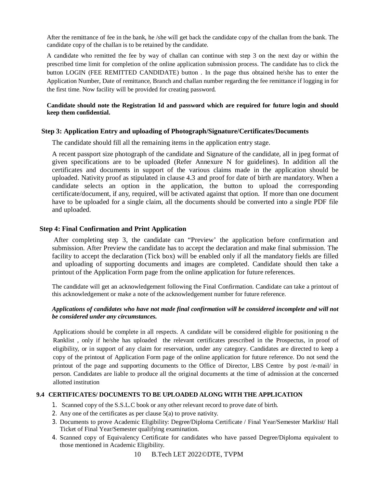After the remittance of fee in the bank, he /she will get back the candidate copy of the challan from the bank. The candidate copy of the challan is to be retained by the candidate.

A candidate who remitted the fee by way of challan can continue with step 3 on the next day or within the prescribed time limit for completion of the online application submission process. The candidate has to click the button LOGIN (FEE REMITTED CANDIDATE) button . In the page thus obtained he/she has to enter the Application Number, Date of remittance, Branch and challan number regarding the fee remittance if logging in for the first time. Now facility will be provided for creating password.

# **Candidate should note the Registration Id and password which are required for future login and should keep them confidential.**

#### **Step 3: Application Entry and uploading of Photograph/Signature/Certificates/Documents**

The candidate should fill all the remaining items in the application entry stage.

A recent passport size photograph of the candidate and Signature of the candidate, all in jpeg format of given specifications are to be uploaded (Refer Annexure N for guidelines). In addition all the certificates and documents in support of the various claims made in the application should be uploaded. Nativity proof as stipulated in clause 4.3 and proof for date of birth are mandatory. When a candidate selects an option in the application, the button to upload the corresponding certificate/document, if any, required, will be activated against that option. If more than one document have to be uploaded for a single claim, all the documents should be converted into a single PDF file and uploaded.

# **Step 4: Final Confirmation and Print Application**

After completing step 3, the candidate can "Preview' the application before confirmation and submission. After Preview the candidate has to accept the declaration and make final submission. The facility to accept the declaration (Tick box) will be enabled only if all the mandatory fields are filled and uploading of supporting documents and images are completed. Candidate should then take a printout of the Application Form page from the online application for future references.

The candidate will get an acknowledgement following the Final Confirmation. Candidate can take a printout of this acknowledgement or make a note of the acknowledgement number for future reference.

# *Applications of candidates who have not made final confirmation will be considered incomplete and will not be considered under any circumstances.*

Applications should be complete in all respects. A candidate will be considered eligible for positioning n the Ranklist , only if he/she has uploaded the relevant certificates prescribed in the Prospectus, in proof of eligibility, or in support of any claim for reservation, under any category. Candidates are directed to keep a copy of the printout of Application Form page of the online application for future reference. Do not send the printout of the page and supporting documents to the Office of Director, LBS Centre by post /e-mail/ in person. Candidates are liable to produce all the original documents at the time of admission at the concerned allotted institution

# **9.4 CERTIFICATES/ DOCUMENTS TO BE UPLOADED ALONG WITH THE APPLICATION**

- 1. Scanned copy of the S.S.L.C book or any other relevant record to prove date of birth.
- 2. Any one of the certificates as per clause 5(a) to prove nativity.
- 3. Documents to prove Academic Eligibility: Degree/Diploma Certificate / Final Year/Semester Marklist/ Hall Ticket of Final Year/Semester qualifying examination.
- 4. Scanned copy of Equivalency Certificate for candidates who have passed Degree/Diploma equivalent to those mentioned in Academic Eligibility.
	- 10 B.Tech LET 2022©DTE, TVPM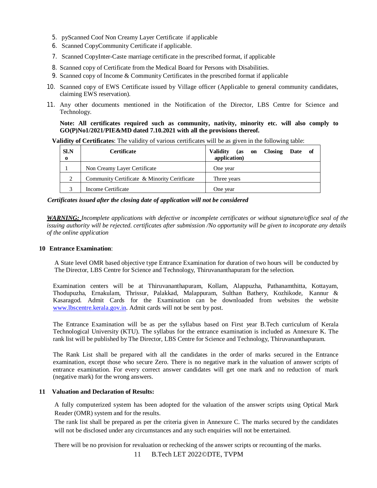- 5. pyScanned Coof Non Creamy Layer Certificate if applicable
- 6. Scanned CopyCommunity Certificate if applicable.
- 7. Scanned CopyInter-Caste marriage certificate in the prescribed format, if applicable
- 8. Scanned copy of Certificate from the Medical Board for Persons with Disabilities.
- 9. Scanned copy of Income & Community Certificates in the prescribed format if applicable
- 10. Scanned copy of EWS Certificate issued by Village officer (Applicable to general community candidates, claiming EWS reservation).
- 11. Any other documents mentioned in the Notification of the Director, LBS Centre for Science and Technology.

**Note: All certificates required such as community, nativity, minority etc. will also comply to GO(P)No1/2021/PIE&MD dated 7.10.2021 with all the provisions thereof.**

**Validity of Certificates**: The validity of various certificates will be as given in the following table:

| <b>SI.N</b><br>$\bf{0}$ | <b>Certificate</b>                           | <b>Validity</b><br>on Closing Date of<br>(as<br>application) |
|-------------------------|----------------------------------------------|--------------------------------------------------------------|
|                         | Non Creamy Layer Certificate                 | One year                                                     |
| $\mathcal{L}$           | Community Certificate & Minority Ceritficate | Three years                                                  |
|                         | Income Certificate                           | One vear                                                     |

#### *Certificates issued after the closing date of application will not be considered*

*WARNING: Incomplete applications with defective or incomplete certificates or without signature/office seal of the issuing authority will be rejected. certificates after submission /No opportunity will be given to incoporate any details of the online application*

#### **10 Entrance Examination**:

A State level OMR based objective type Entrance Examination for duration of two hours will be conducted by The Director, LBS Centre for Science and Technology, Thiruvananthapuram for the selection.

Examination centers will be at Thiruvananthapuram, Kollam, Alappuzha, Pathanamthitta, Kottayam, Thodupuzha, Ernakulam, Thrissur, Palakkad, Malappuram, Sulthan Bathery, Kozhikode, Kannur & Kasaragod. Admit Cards for the Examination can be downloaded from websites the website [www.lbscentre.kerala.gov.in.](http://www.lbscentre.kerala.gov.in.) Admit cards will not be sent by post.

The Entrance Examination will be as per the syllabus based on First year B.Tech curriculum of Kerala Technological University (KTU). The syllabus for the entrance examination is included as Annexure K. The rank list will be published by The Director, LBS Centre for Science and Technology, Thiruvananthapuram.

The Rank List shall be prepared with all the candidates in the order of marks secured in the Entrance examination, except those who secure Zero. There is no negative mark in the valuation of answer scripts of entrance examination. For every correct answer candidates will get one mark and no reduction of mark (negative mark) for the wrong answers.

#### **11 Valuation and Declaration of Results:**

A fully computerized system has been adopted for the valuation of the answer scripts using Optical Mark Reader (OMR) system and for the results.

The rank list shall be prepared as per the criteria given in Annexure C. The marks secured by the candidates will not be disclosed under any circumstances and any such enquiries will not be entertained.

There will be no provision for revaluation or rechecking of the answer scripts or recounting of the marks.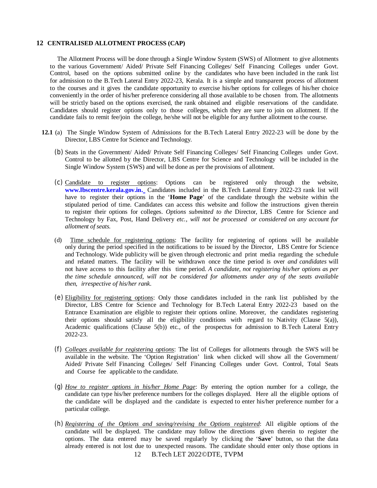#### **12 CENTRALISED ALLOTMENT PROCESS (CAP)**

The Allotment Process will be done through a Single Window System (SWS) of Allotment to give allotments to the various Government/ Aided/ Private Self Financing Colleges/ Self Financing Colleges under Govt. Control, based on the options submitted online by the candidates who have been included in the rank list for admission to the B.Tech Lateral Entry 2022-23, Kerala. It is a simple and transparent process of allotment to the courses and it gives the candidate opportunity to exercise his/her options for colleges of his/her choice conveniently in the order of his/her preference considering all those available to be chosen from. The allotments will be strictly based on the options exercised, the rank obtained and eligible reservations of the candidate. Candidates should register options only to those colleges, which they are sure to join on allotment. If the candidate fails to remit fee/join the college, he/she will not be eligible for any further allotment to the course.

- **12.1** (a) The Single Window System of Admissions for the B.Tech Lateral Entry 2022-23 will be done by the Director, LBS Centre for Science and Technology.
	- (b) Seats in the Government/ Aided/ Private Self Financing Colleges/ Self Financing Colleges under Govt. Control to be allotted by the Director, LBS Centre for Science and Technology will be included in the Single Window System (SWS) and will be done as per the provisions of allotment.
	- (c) Candidate to register options: Options can be registered only through the website, **[www.lbscentre.kerala.gov.in.](http://www.lbscentre.kerala.gov.in.)** Candidates included in the B.Tech Lateral Entry 2022-23 rank list will have to register their options in the '**Home Page**' of the candidate through the website within the stipulated period of time. Candidates can access this website and follow the instructions given therein to register their options for colleges. *Options submitted to the* Director, LBS Centre for Science and Technology by Fax, Post, Hand Delivery *etc., will not be processed or considered on any account for allotment of seats.*
	- (d)Time schedule for registering options: The facility for registering of options will be available only during the period specified in the notifications to be issued by the Director, LBS Centre for Science and Technology. Wide publicity will be given through electronic and print media regarding the schedule and related matters. The facility will be withdrawn once the time period is over *and candidates* will not have access to this facility after this time period. *A candidate, not registering his/her options as per the time schedule announced, will not be considered for allotments under any of the seats available then, irrespective of his/her rank*.
	- (e) Eligibility for registering options: Only those candidates included in the rank list published by the Director, LBS Centre for Science and Technology for B.Tech Lateral Entry 2022-23 based on the Entrance Examination are eligible to register their options online. Moreover, the candidates registering their options should satisfy all the eligibility conditions with regard to Nativity (Clause  $5(a)$ ), Academic qualifications (Clause 5(b)) etc., of the prospectus for admission to B.Tech Lateral Entry 2022-23.
	- (f) *Colleges available for registering options*: The list of Colleges for allotments through the SWS will be available in the website. The 'Option Registration' link when clicked will show all the Government/ Aided/ Private Self Financing Colleges/ Self Financing Colleges under Govt. Control, Total Seats and Course fee applicable to the candidate.
	- (g) *How to register options in his/her Home Page*: By entering the option number for a college, the candidate can type his/her preference numbers for the colleges displayed. Here all the eligible options of the candidate will be displayed and the candidate is expected to enter his/her preference number for a particular college.
	- 12 B.Tech LET 2022©DTE, TVPM *(h) Registering of the Options and saving/revising the Options registered*: All eligible options of the candidate will be displayed. The candidate may follow the directions given therein to register the options. The data entered may be saved regularly by clicking the '**Save**' button, so that the data already entered is not lost due to unexpected reasons. The candidate should enter only those options in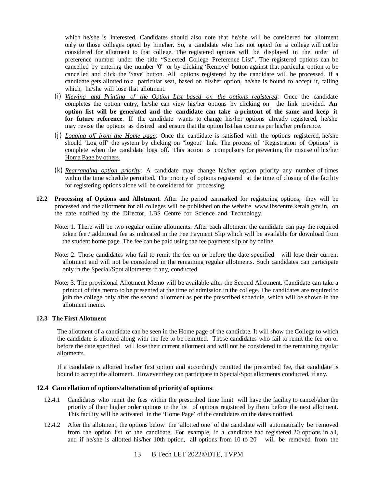which he/she is interested. Candidates should also note that he/she will be considered for allotment only to those colleges opted by him/her. So, a candidate who has not opted for a college will not be considered for allotment to that college. The registered options will be displayed in the order of preference number under the title "Selected College Preference List". The registered options can be cancelled by entering the number '0' or by clicking 'Remove' button against that particular option to be cancelled and click the 'Save' button. All options registered by the candidate will be processed. If a candidate gets allotted to a particular seat, based on his/her option, he/she is bound to accept it, failing which, he/she will lose that allotment.

- (i) *Viewing and Printing of the Option List based on the options registered*: Once the candidate completes the option entry, he/she can view his/her options by clicking on the link provided. **An option list will be generated and the candidate can take a printout of the same and keep it for future reference**. If the candidate wants to change his/her options already registered, he/she may revise the options as desired and ensure that the option list has come as per his/her preference.
- (j) *Logging off from the Home page*: Once the candidate is satisfied with the options registered, he/she should 'Log off' the system by clicking on "logout" link. The process of 'Registration of Options' is complete when the candidate logs off. This action is compulsory for preventing the misuse of his/her Home Page by others.
- (k) *Rearranging option priority*: A candidate may change his/her option priority any number of times within the time schedule permitted. The priority of options registered at the time of closing of the facility for registering options alone will be considered for processing.
- **12.2 Processing of Options and Allotment**: After the period earmarked for registering options, they will be processed and the allotment for all colleges will be published on the website [www.lbscentre.kerala.gov.in,](http://www.lbscentre.kerala.gov.in,) on the date notified by the Director, LBS Centre for Science and Technology.
	- Note: 1. There will be two regular online allotments. After each allotment the candidate can pay the required token fee / additional fee as indicated in the Fee Payment Slip which will be available for download from the student home page. The fee can be paid using the fee payment slip or by online.
	- Note: 2. Those candidates who fail to remit the fee on or before the date specified will lose their current allotment and will not be considered in the remaining regular allotments. Such candidates can participate only in the Special/Spot allotments if any, conducted.
	- Note: 3. The provisional Allotment Memo will be available after the Second Allotment. Candidate can take a printout of this memo to be presented at the time of admission in the college. The candidates are required to join the college only after the second allotment as per the prescribed schedule, which will be shown in the allotment memo.

### **12.3 The First Allotment**

The allotment of a candidate can be seen in the Home page of the candidate. It will show the College to which the candidate is allotted along with the fee to be remitted. Those candidates who fail to remit the fee on or before the date specified will lose their current allotment and will not be considered in the remaining regular allotments.

If a candidate is allotted his/her first option and accordingly remitted the prescribed fee, that candidate is bound to accept the allotment. However they can participate in Special/Spot allotments conducted, if any.

# **12.4 Cancellation of options/alteration of priority of options**:

- 12.4.1 Candidates who remit the fees within the prescribed time limit will have the facility to cancel/alter the priority of their higher order options in the list of options registered by them before the next allotment. This facility will be activated in the 'Home Page' of the candidates on the dates notified.
- 12.4.2 After the allotment, the options below the 'allotted one' of the candidate will automatically be removed from the option list of the candidate. For example, if a candidate had registered 20 options in all, and if he/she is allotted his/her 10th option, all options from 10 to 20 will be removed from the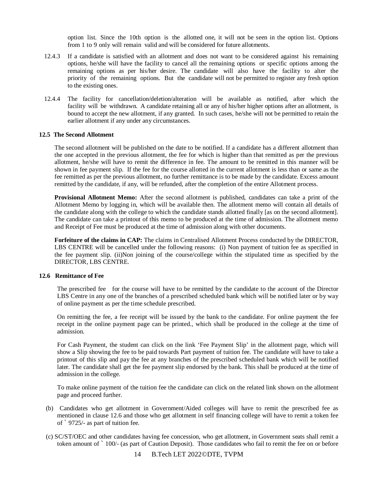option list. Since the 10th option is the allotted one, it will not be seen in the option list. Options from 1 to 9 only will remain valid and will be considered for future allotments.

- 12.4.3 If a candidate is satisfied with an allotment and does not want to be considered against his remaining options, he/she will have the facility to cancel all the remaining options or specific options among the remaining options as per his/her desire. The candidate will also have the facility to alter the priority of the remaining options. But the candidate will not be permitted to register any fresh option to the existing ones.
- 12.4.4 The facility for cancellation/deletion/alteration will be available as notified, after which the facility will be withdrawn. A candidate retaining all or any of his/her higher options after an allotment, is bound to accept the new allotment, if any granted. In such cases, he/she will not be permitted to retain the earlier allotment if any under any circumstances.

#### **12.5 The Second Allotment**

The second allotment will be published on the date to be notified. If a candidate has a different allotment than the one accepted in the previous allotment, the fee for which is higher than that remitted as per the previous allotment, he/she will have to remit the difference in fee. The amount to be remitted in this manner will be shown in fee payment slip. If the fee for the course allotted in the current allotment is less than or same as the fee remitted as per the previous allotment, no further remittance is to be made by the candidate. Excess amount remitted by the candidate, if any, will be refunded, after the completion of the entire Allotment process.

**Provisional Allotment Memo:** After the second allotment is published, candidates can take a print of the Allotment Memo by logging in, which will be available then. The allotment memo will contain all details of the candidate along with the college to which the candidate stands allotted finally [as on the second allotment]. The candidate can take a printout of this memo to be produced at the time of admission. The allotment memo and Receipt of Fee must be produced at the time of admission along with other documents.

Forfeiture of the claims in CAP: The claims in Centralised Allotment Process conducted by the DIRECTOR, LBS CENTRE will be cancelled under the following reasons: (i) Non payment of tuition fee as specified in the fee payment slip. (ii)Non joining of the course/college within the stipulated time as specified by the DIRECTOR, LBS CENTRE.

#### **12.6 Remittance of Fee**

The prescribed fee for the course will have to be remitted by the candidate to the account of the Director LBS Centre in any one of the branches of a prescribed scheduled bank which will be notified later or by way of online payment as per the time schedule prescribed.

On remitting the fee, a fee receipt will be issued by the bank to the candidate. For online payment the fee receipt in the online payment page can be printed., which shall be produced in the college at the time of admission.

For Cash Payment, the student can click on the link 'Fee Payment Slip' in the allotment page, which will show a Slip showing the fee to be paid towards Part payment of tuition fee. The candidate will have to take a printout of this slip and pay the fee at any branches of the prescribed scheduled bank which will be notified later. The candidate shall get the fee payment slip endorsed by the bank. This shall be produced at the time of admission in the college.

To make online payment of the tuition fee the candidate can click on the related link shown on the allotment page and proceed further.

- (b) Candidates who get allotment in Government/Aided colleges will have to remit the prescribed fee as mentioned in clause 12.6 and those who get allotment in self financing college will have to remit a token fee of `9725/- as part of tuition fee.
- (c) SC/ST/OEC and other candidates having fee concession, who get allotment, in Government seats shall remit a token amount of `100/- (as part of Caution Deposit). Those candidates who fail to remit the fee on or before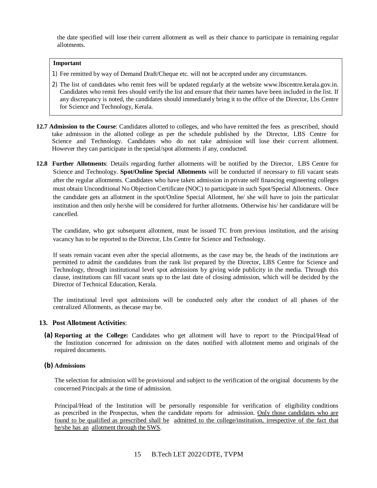the date specified will lose their current allotment as well as their chance to participate in remaining regular allotments.

#### **Important**

- 1) Fee remitted by way of Demand Draft/Cheque etc. will not be accepted under any circumstances.
- 2) The list of candidates who remit fees will be updated regularly at the website [www.lbscentre.kerala.gov.in.](http://www.lbscentre.kerala.gov.in.)  Candidates who remit fees should verify the list and ensure that their names have been included in the list. If any discrepancy is noted, the candidates should immediately bring it to the office of the Director, Lbs Centre for Science and Technology, Kerala.
- **12.7 Admission to the Course**: Candidates allotted to colleges, and who have remitted the fees as prescribed, should take admission in the allotted college as per the schedule published by the Director, LBS Centre for Science and Technology. Candidates who do not take admission will lose their current allotment. However they can participate in the special/spot allotments if any, conducted.
- **12.8 Further Allotments**: Details regarding further allotments will be notified by the Director, LBS Centre for Science and Technology. **Spot/Online Special Allotments** will be conducted if necessary to fill vacant seats after the regular allotments. Candidates who have taken admission in private self financing engineering colleges must obtain Unconditional No Objection Certificate (NOC) to participate in such Spot/Special Allotments. Once the candidate gets an allotment in the spot/Online Special Allotment, he/ she will have to join the particular institution and then only he/she will be considered for further allotments. Otherwise his/ her candidature will be cancelled.

The candidate, who got subsequent allotment, must be issued TC from previous institution, and the arising vacancy has to be reported to the Director, Lbs Centre for Science and Technology.

If seats remain vacant even after the special allotments, as the case may be, the heads of the institutions are permitted to admit the candidates from the rank list prepared by the Director, LBS Centre for Science and Technology, through institutional level spot admissions by giving wide publicity in the media. Through this clause, institutions can fill vacant seats up to the last date of closing admission, which will be decided by the Director of Technical Education, Kerala.

The institutional level spot admissions will be conducted only after the conduct of all phases of the centralized Allotments, as thecase may be.

# **13. Post Allotment Activities**:

**(a) Reporting at the College:** Candidates who get allotment will have to report to the Principal/Head of the Institution concerned for admission on the dates notified with allotment memo and originals of the required documents.

#### **(b) Admissions**

The selection for admission will be provisional and subject to the verification of the original documents by the concerned Principals at the time of admission.

Principal/Head of the Institution will be personally responsible for verification of eligibility conditions as prescribed in the Prospectus, when the candidate reports for admission. Only those candidates who are found to be qualified as prescribed shall be admitted to the college/institution, irrespective of the fact that he/she has an allotment through the SWS.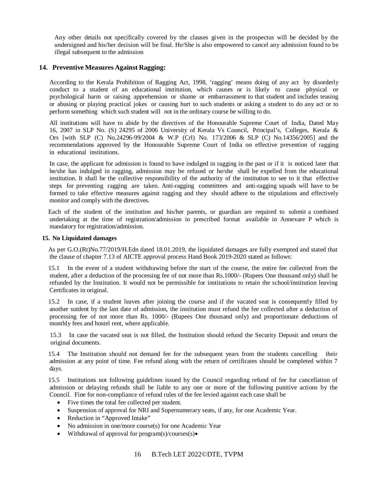Any other details not specifically covered by the clauses given in the prospectus will be decided by the undersigned and his/her decision will be final. He/She is also empowered to cancel any admission found to be illegal subsequent to the admission

### **14. Preventive Measures Against Ragging:**

According to the Kerala Prohibition of Ragging Act, 1998, 'ragging' means doing of any act by disorderly conduct to a student of an educational institution, which causes or is likely to cause physical or psychological harm or raising apprehension or shame or embarrassment to that student and includes teasing or abusing or playing practical jokes or causing hurt to such students or asking a student to do any act or to perform something which such student will not in the ordinary course be willing to do.

All institutions will have to abide by the directives of the Honourable Supreme Court of India, Dated May 16, 2007 in SLP No. (S) 24295 of 2006 University of Kerala Vs Council, Principal's, Colleges, Kerala & Ors [with SLP (C) No.24296-99/2004 & W.P (Crl) No. 173/2006 & SLP (C) No.14356/2005] and the recommendations approved by the Honourable Supreme Court of India on effective prevention of ragging in educational institutions.

In case, the applicant for admission is found to have indulged in ragging in the past or if it is noticed later that he/she has indulged in ragging, admission may be refused or he/she shall be expelled from the educational institution. It shall be the collective responsibility of the authority of the institution to see to it that effective steps for preventing ragging are taken. Anti-ragging committees and anti-ragging squads will have to be formed to take effective measures against ragging and they should adhere to the stipulations and effectively monitor and comply with the directives.

Each of the student of the institution and his/her parents, or guardian are required to submit a combined undertaking at the time of registration/admission in prescribed format available in Annexure P which is mandatory for registration/admission.

#### **15. No Liquidated damages**

As per G.O.(Rt)No.77/2019/H.Edn dated 18.01.2019, the liquidated damages are fully exempted and stated that the clause of chapter 7.13 of AICTE approval process Hand Book 2019-2020 stated as follows:

15.1 In the event of a student withdrawing before the start of the course, the entire fee collected from the student, after a deduction of the processing fee of not more than Rs.1000/- (Rupees One thousand only) shall be refunded by the Institution. It would not be permissible for institutions to retain the school/institution leaving Certificates in original.

15.2 In case, if a student leaves after joining the course and if the vacated seat is consequently filled by another sutdent by the last date of admission, the institution must refund the fee collected after a deduction of processing fee of not more than Rs. 1000/- (Rupees One thousand only) and proportionate deductions of monthly fees and hostel rent, where applicable.

15.3 In case the vacated seat is not filled, the Institution should refund the Security Deposit and return the original documents.

15.4 The Institution should not demand fee for the subsequent years from the students cancelling their admission at any point of time. Fee refund along with the return of certificates should be completed within 7 days.

15.5 Institutions not following guidelines issued by the Council regarding refund of fee for cancellation of admission or delaying refunds shall be liable to any one or more of the following punitive actions by the Council. Fine for non-compliance of refund rules of the fee levied against each case shall be

- Five times the total fee collected per student.
- Suspension of approval for NRI and Supernumerary seats, if any, for one Academic Year.
- Reduction in "Approved Intake"
- No admission in one/more course(s) for one Academic Year
- $\bullet$  Withdrawal of approval for program(s)/courses(s) $\bullet$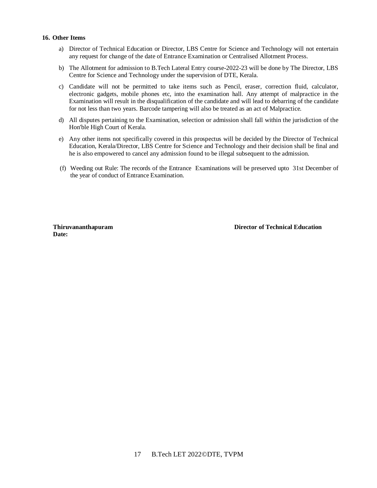#### **16. Other Items**

- a) Director of Technical Education or Director, LBS Centre for Science and Technology will not entertain any request for change of the date of Entrance Examination or Centralised Allotment Process.
- b) The Allotment for admission to B.Tech Lateral Entry course-2022-23 will be done by The Director, LBS Centre for Science and Technology under the supervision of DTE, Kerala.
- c) Candidate will not be permitted to take items such as Pencil, eraser, correction fluid, calculator, electronic gadgets, mobile phones etc, into the examination hall. Any attempt of malpractice in the Examination will result in the disqualification of the candidate and will lead to debarring of the candidate for not less than two years. Barcode tampering will also be treated as an act of Malpractice.
- d) All disputes pertaining to the Examination, selection or admission shall fall within the jurisdiction of the Hon'ble High Court of Kerala.
- e) Any other items not specifically covered in this prospectus will be decided by the Director of Technical Education, Kerala/Director, LBS Centre for Science and Technology and their decision shall be final and he is also empowered to cancel any admission found to be illegal subsequent to the admission.
- (f) Weeding out Rule: The records of the Entrance Examinations will be preserved upto 31st December of the year of conduct of Entrance Examination.

**Date:**

**Thiruvananthapuram Director of Technical Education**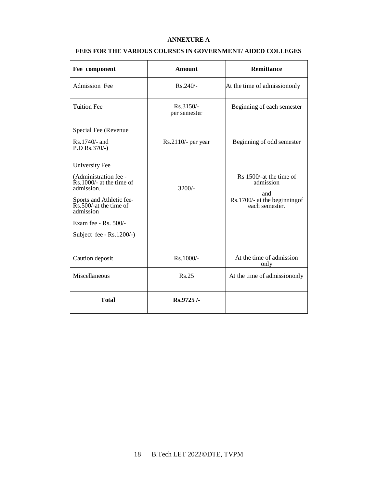# **ANNEXURE A**

# **FEES FOR THE VARIOUS COURSES IN GOVERNMENT/ AIDED COLLEGES**

| Fee component                                                                                                                                                                                                                | <b>Amount</b>             | <b>Remittance</b>                                                                              |  |  |
|------------------------------------------------------------------------------------------------------------------------------------------------------------------------------------------------------------------------------|---------------------------|------------------------------------------------------------------------------------------------|--|--|
| <b>Admission Fee</b>                                                                                                                                                                                                         | $Rs.240/-$                | At the time of admission only                                                                  |  |  |
| <b>Tuition Fee</b>                                                                                                                                                                                                           | Rs.3150/-<br>per semester | Beginning of each semester                                                                     |  |  |
| Special Fee (Revenue<br>$Rs.1740/-$ and<br>$P.D Rs.370/-$                                                                                                                                                                    | $Rs.2110/-$ per year      | Beginning of odd semester                                                                      |  |  |
| <b>University Fee</b><br>(Administration fee -<br>$\hat{R}$ s. 1000/- at the time of<br>admission.<br>Sports and Athletic fee-<br>Rs.500/-at the time of<br>admission<br>Exam fee - Rs. 500/-<br>Subject fee - $Rs.1200/-$ ) | $3200/-$                  | Rs 1500/-at the time of<br>admission<br>and<br>Rs.1700/- at the beginning of<br>each semester. |  |  |
| Caution deposit                                                                                                                                                                                                              | Rs.1000/-                 | At the time of admission<br>only                                                               |  |  |
| Miscellaneous                                                                                                                                                                                                                | Rs.25                     | At the time of admission only                                                                  |  |  |
| <b>Total</b>                                                                                                                                                                                                                 | Rs.9725/-                 |                                                                                                |  |  |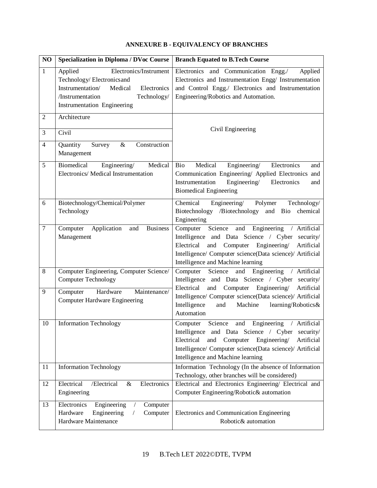| NO             | <b>Specialization in Diploma / DVoc Course</b>                                                                                                                                        | <b>Branch Equated to B.Tech Course</b>                                                                                                                                                                                                                                 |
|----------------|---------------------------------------------------------------------------------------------------------------------------------------------------------------------------------------|------------------------------------------------------------------------------------------------------------------------------------------------------------------------------------------------------------------------------------------------------------------------|
| $\mathbf{1}$   | Applied<br>Electronics/Instrument<br>Technology/Electronicsand<br>Instrumentation/<br>Medical<br>Electronics<br>/Instrumentation<br>Technology/<br><b>Instrumentation Engineering</b> | Electronics and Communication Engg./<br>Applied<br>Electronics and Instrumentation Engg/ Instrumentation<br>and Control Engg./ Electronics and Instrumentation<br>Engineering/Robotics and Automation.                                                                 |
| $\overline{2}$ | Architecture                                                                                                                                                                          | Civil Engineering                                                                                                                                                                                                                                                      |
| 3              | Civil                                                                                                                                                                                 |                                                                                                                                                                                                                                                                        |
| $\overline{4}$ | $\overline{Quantity}$<br>Survey<br>$\&$<br>Construction<br>Management                                                                                                                 |                                                                                                                                                                                                                                                                        |
| 5              | Biomedical<br>Engineering/<br>Medical<br>Electronics/ Medical Instrumentation                                                                                                         | Engineering/<br>Electronics<br>Bio<br>Medical<br>and<br>Communication Engineering/ Applied Electronics and<br>Instrumentation<br>Engineering/<br>Electronics<br>and<br><b>Biomedical Engineering</b>                                                                   |
| 6              | Biotechnology/Chemical/Polymer<br>Technology                                                                                                                                          | Chemical<br>Engineering/<br>Polymer<br>Technology/<br>Biotechnology /Biotechnology<br>and Bio<br>chemical<br>Engineering                                                                                                                                               |
| $\tau$         | Computer<br>Application<br>and<br><b>Business</b><br>Management                                                                                                                       | Engineering<br>Computer<br>Science<br>and<br>/ Artificial<br>Intelligence and Data Science / Cyber security/<br>Electrical<br>and Computer Engineering/<br>Artificial<br>Intelligence/ Computer science(Data science)/ Artificial<br>Intelligence and Machine learning |
| 8              | Computer Engineering, Computer Science/<br><b>Computer Technology</b>                                                                                                                 | and<br>Engineering<br>Computer<br>Science<br>/ Artificial<br>Intelligence and Data Science / Cyber security/                                                                                                                                                           |
| 9              | Computer<br>Hardware<br>Maintenance/<br><b>Computer Hardware Engineering</b>                                                                                                          | Electrical<br>and Computer Engineering<br>Artificial<br>Intelligence/ Computer science(Data science)/ Artificial<br>Intelligence<br>and<br>Machine<br>learning/Robotics&<br>Automation                                                                                 |
| 10             | <b>Information Technology</b>                                                                                                                                                         | Science<br>and Engineering / Artificial<br>Computer<br>Intelligence and Data Science / Cyber security/<br>Electrical<br>and<br>Engineering/<br>Artificial<br>Computer<br>Intelligence/ Computer science(Data science)/ Artificial<br>Intelligence and Machine learning |
| 11             | <b>Information Technology</b>                                                                                                                                                         | Information Technology (In the absence of Information<br>Technology, other branches will be considered)                                                                                                                                                                |
| 12             | Electrical<br>/Electrical<br>&<br>Electronics<br>Engineering                                                                                                                          | Electrical and Electronics Engineering/ Electrical and<br>Computer Engineering/Robotic& automation                                                                                                                                                                     |
| 13             | Electronics<br>Engineering<br>Computer<br>Hardware<br>Engineering<br>Computer<br>Hardware Maintenance                                                                                 | Electronics and Communication Engineering<br>Robotic& automation                                                                                                                                                                                                       |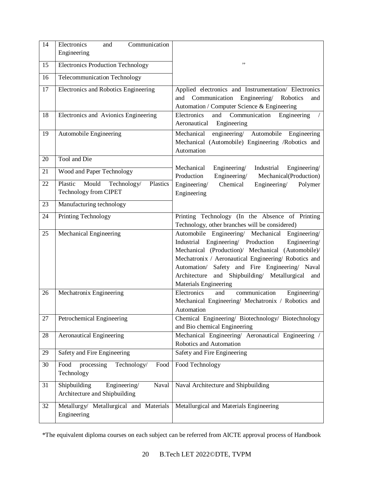| 14              | Communication<br>Electronics<br>and<br>Engineering                     |                                                                                                                                                                                                                                                                                                                                                      |
|-----------------|------------------------------------------------------------------------|------------------------------------------------------------------------------------------------------------------------------------------------------------------------------------------------------------------------------------------------------------------------------------------------------------------------------------------------------|
| 15              | <b>Electronics Production Technology</b>                               | ,,                                                                                                                                                                                                                                                                                                                                                   |
| 16              | Telecommunication Technology                                           |                                                                                                                                                                                                                                                                                                                                                      |
| $\overline{17}$ | Electronics and Robotics Engineering                                   | Applied electronics and Instrumentation/ Electronics<br>Communication Engineering/ Robotics<br>and<br>and<br>Automation / Computer Science & Engineering                                                                                                                                                                                             |
| 18              | Electronics and Avionics Engineering                                   | Electronics<br>and<br>Communication<br>Engineering<br>Engineering<br>Aeronautical                                                                                                                                                                                                                                                                    |
| 19              | Automobile Engineering                                                 | engineering/<br>Automobile Engineering<br>Mechanical<br>Mechanical (Automobile) Engineering /Robotics and<br>Automation                                                                                                                                                                                                                              |
| 20              | Tool and Die                                                           |                                                                                                                                                                                                                                                                                                                                                      |
| 21              | Wood and Paper Technology                                              | Mechanical<br>Engineering<br>Industrial<br>Engineering/<br>Engineering/<br>Mechanical(Production)<br>Production                                                                                                                                                                                                                                      |
| 22              | Plastic<br>Mould<br>Technology/<br>Plastics<br>Technology from CIPET   | Engineering/<br>Chemical<br>Engineering/<br>Polymer<br>Engineering                                                                                                                                                                                                                                                                                   |
| 23              | Manufacturing technology                                               |                                                                                                                                                                                                                                                                                                                                                      |
| 24              | Printing Technology                                                    | Printing Technology (In the Absence of Printing<br>Technology, other branches will be considered)                                                                                                                                                                                                                                                    |
| 25              | Mechanical Engineering                                                 | Automobile Engineering/ Mechanical Engineering/<br>Industrial Engineering/ Production<br>Engineering/<br>Mechanical (Production)/ Mechanical (Automobile)/<br>Mechatronix / Aeronautical Engineering/ Robotics and<br>Automation/ Safety and Fire Engineering/ Naval<br>Architecture and Shipbuilding/ Metallurgical<br>and<br>Materials Engineering |
| 26              | Mechatronix Engineering                                                | Electronics<br>and<br>communication<br>Engineering/<br>Mechanical Engineering/ Mechatronix / Robotics and<br>Automation                                                                                                                                                                                                                              |
| 27              | Petrochemical Engineering                                              | Chemical Engineering/ Biotechnology/ Biotechnology<br>and Bio chemical Engineering                                                                                                                                                                                                                                                                   |
| 28              | <b>Aeronautical Engineering</b>                                        | Mechanical Engineering/ Aeronautical Engineering /<br>Robotics and Automation                                                                                                                                                                                                                                                                        |
| 29              | Safety and Fire Engineering                                            | Safety and Fire Engineering                                                                                                                                                                                                                                                                                                                          |
| 30              | processing<br>Technology/<br>Food<br>Food<br>Technology                | Food Technology                                                                                                                                                                                                                                                                                                                                      |
| 31              | Shipbuilding<br>Engineering/<br>Naval<br>Architecture and Shipbuilding | Naval Architecture and Shipbuilding                                                                                                                                                                                                                                                                                                                  |
| 32              | Metallurgy/ Metallurgical and Materials<br>Engineering                 | Metallurgical and Materials Engineering                                                                                                                                                                                                                                                                                                              |

\*The equivalent diploma courses on each subject can be referred from AICTE approval process of Handbook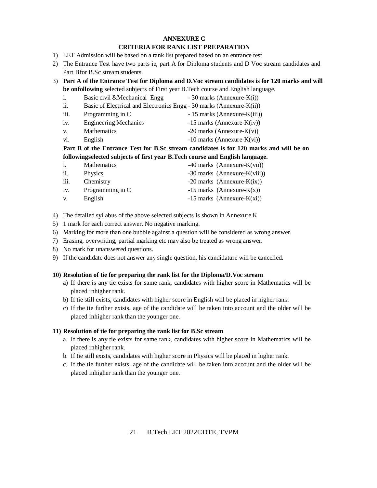#### **ANNEXURE C CRITERIA FOR RANK LIST PREPARATION**

- 1) LET Admission will be based on a rank list prepared based on an entrance test
- 2) The Entrance Test have two parts ie, part A for Diploma students and D Voc stream candidates and Part Bfor B.Sc stream students.
- 3) **Part A of the Entrance Test for Diploma and D.Voc stream candidates is for 120 marks and will be onfollowing** selected subjects of First year B.Tech course and English language.
	- i. Basic civil &Mechanical Engg  $-30$  marks (Annexure-K(i)) ii. Basic of Electrical and Electronics Engg - 30 marks (Annexure-K(ii)) iii. Programming in C  $-15$  marks (Annexure-K(iii))
	- iv. Engineering Mechanics  $-15$  marks (Annexure-K(iv))
	- v. Mathematics  $-20$  marks (Annexure-K(v))
	- vi. English  $-10$  marks (Annexure-K(vi))

# **Part B of the Entrance Test for B.Sc stream candidates is for 120 marks and will be on followingselected subjects of first year B.Tech course and English language.**

| i.   | <b>Mathematics</b> | $-40$ marks (Annexure-K(vii))  |
|------|--------------------|--------------------------------|
| ii.  | <b>Physics</b>     | $-30$ marks (Annexure-K(viii)) |
| iii. | Chemistry          | $-20$ marks (Annexure-K(ix))   |
| iv.  | Programming in C   | $-15$ marks (Annexure-K(x))    |
| V.   | English            | $-15$ marks (Annexure-K(xi))   |

- 4) The detailed syllabus of the above selected subjects is shown in Annexure K
- 5) 1 mark for each correct answer. No negative marking.
- 6) Marking for more than one bubble against a question will be considered as wrong answer.
- 7) Erasing, overwriting, partial marking etc may also be treated as wrong answer.
- 8) No mark for unanswered questions.
- 9) If the candidate does not answer any single question, his candidature will be cancelled.

# **10) Resolution of tie for preparing the rank list for the Diploma/D.Voc stream**

- a) If there is any tie exists for same rank, candidates with higher score in Mathematics will be placed inhigher rank.
- b) If tie still exists, candidates with higher score in English will be placed in higher rank.
- c) If the tie further exists, age of the candidate will be taken into account and the older will be placed inhigher rank than the younger one.

# **11) Resolution of tie for preparing the rank list for B.Sc stream**

- a. If there is any tie exists for same rank, candidates with higher score in Mathematics will be placed inhigher rank.
- b. If tie still exists, candidates with higher score in Physics will be placed in higher rank.
- c. If the tie further exists, age of the candidate will be taken into account and the older will be placed inhigher rank than the younger one.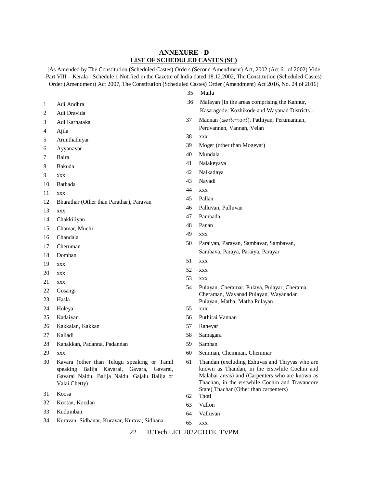### **ANNEXURE - D LIST OF SCHEDULED CASTES (SC)**

[As Amended by The Constitution (Scheduled Castes) Orders (Second Amendment) Act, 2002 (Act 61 of 2002) Vide Part VIII – Kerala - Schedule 1 Notified in the Gazette of India dated 18.12.2002, The Constitution (Scheduled Castes) Order (Amendment) Act 2007, The Constitution (Scheduled Castes) Order (Amendment) Act 2016, No. 24 of 2016]

Maila

- Adi Andhra Adi Dravida Adi Karnataka Ajila Arunthathiyar Ayyanavar Baira Bakuda xxx Bathada xxx Bharathar (Other than Parathar), Paravan xxx Chakkiliyan Chamar, Muchi Chandala Cheruman Domban xxx xxx xxx Gosangi Hasla Holeya Kadaiyan Kakkalan, Kakkan Kalladi Kanakkan, Padanna, Padannan xxx Kavara (other than Telugu speaking or Tamil speaking Balija Kavarai, Gavara, Gavarai, Gavarai Naidu, Balija Naidu, Gajalu Balija or Valai Chetty) Koosa Kootan, Koodan Malayan [In the areas comprising the Kannur, Kasaragode, Kozhikode and Wayanad Districts]. Mannan (മണ്ണാന്), Pathiyan, Perumannan, Peruvannan, Vannan, Velan xxx Moger (other than Mogeyar) Mundala Nalakeyava Nalkadaya Nayadi xxx Pallan Palluvan, Pulluvan Pambada Panan xxx Paraiyan, Parayan, Sambavar, Sambavan, Sambava, Paraya, Paraiya, Parayar xxx xxx xxx Pulayan, Cheramar, Pulaya, Pulayar, Cherama, Cheraman, Wayanad Pulayan, Wayanadan Pulayan, Matha, Matha Pulayan xxx Puthirai Vannan Raneyar Samagara Samban Semman, Chemman, Chemmar Thandan (excluding Ezhuvas and Thiyyas who are known as Thandan, in the erstwhile Cochin and Malabar areas) and (Carpenters who are known as Thachan, in the erstwhile Cochin and Travancore State) Thachar (Other than carpenters) Thoti Vallon
- Kudumban
- Kuravan, Sidhanar, Kuravar, Kurava, Sidhana
- xxx

Valluvan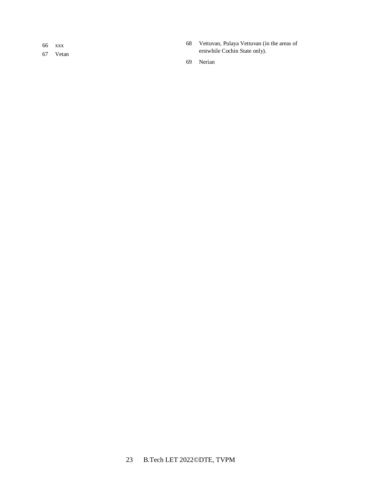xxx

Vetan

 Vettuvan, Pulaya Vettuvan (in the areas of erstwhile Cochin State only).

Nerian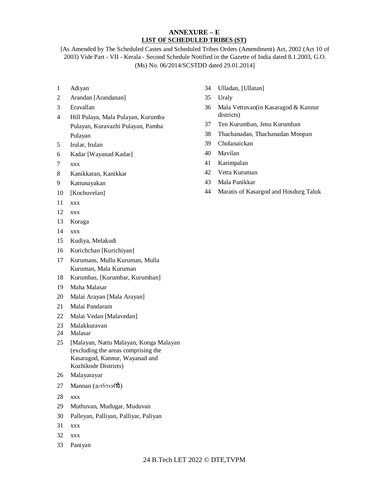# **ANNEXURE – E LIST OF SCHEDULED TRIBES (ST)**

[As Amended by The Scheduled Castes and Scheduled Tribes Orders (Amendment) Act, 2002 (Act 10 of 2003) Vide Part - VII - Kerala - Second Schedule Notified in the Gazette of India dated 8.1.2003, G.O. (Ms) No. 06/2014/SCSTDD dated 29.01.2014]

- Adiyan
- Arandan [Arandanan]
- Eravallan
- Hill Pulaya, Mala Pulayan, Kurumba Pulayan, Kuravazhi Pulayan, Pamba Pulayan
- Irular, Irulan
- Kadar [Wayanad Kadar]
- xxx
- Kanikkaran, Kanikkar
- Kattunayakan
- [Kochuvelan]
- xxx
- xxx
- Koraga
- xxx
- Kudiya, Melakudi
- Kurichchan [Kurichiyan]
- Kurumans, Mullu Kuruman, Mulla Kuruman, Mala Kuruman
- Kurumbas, [Kurumbar, Kurumban]
- Maha Malasar
- Malai Arayan [Mala Arayan]
- Malai Pandaram
- Malai Vedan [Malavedan]
- Malakkuravan
- Malasar
- [Malayan, Nattu Malayan, Konga Malayan (excluding the areas comprising the Kasaragod, Kannur, Wayanad and Kozhikode Districts)
- Malayarayar
- Mannan (മന്നാൻ)
- xxx
- Muthuvan, Mudugar, Muduvan
- Palleyan, Palliyan, Palliyar, Paliyan
- xxx
- xxx
- Paniyan
- Ulladan, [Ullatan]
- Uraly
- Mala Vettuvan(in Kasaragod & Kannur districts)
- Ten Kurumban, Jenu Kurumban
- Thachanadan, Thachanadan Moopan
- Cholanaickan
- Mavilan
- Karimpalan
- Vetta Kuruman
- Mala Panikkar
- Maratis of Kasargod and Hosdurg Taluk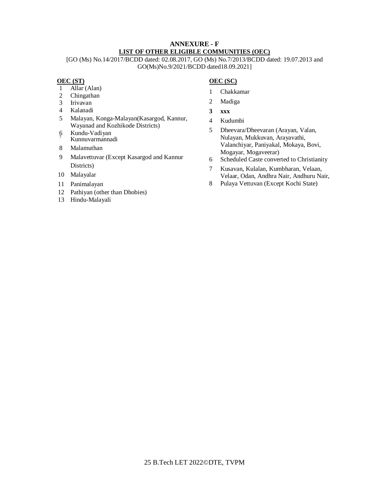# **ANNEXURE - F LIST OF OTHER ELIGIBLE COMMUNITIES (OEC)**

[GO (Ms) No.14/2017/BCDD dated: 02.08.2017, GO (Ms) No.7/2013/BCDD dated: 19.07.2013 and GO(Ms)No.9/2021/BCDD dated18.09.2021]

# **OEC (ST)**

- 1 Allar (Alan)<br>2 Chingathan
- Chingathan
- 3 Irivavan
- 4 Kalanadi
- 5 Malayan, Konga-Malayan(Kasargod, Kannur, Wayanad and Kozhikode Districts)
- 6 Kundu-Vadiyan Kunnuvarmannadi
- 8 Malamuthan
- 9 Malavettuvar (Except Kasargod and Kannur Districts)
- 10 Malayalar
- 11 Panimalayan
- 12 Pathiyan (other than Dhobies)
- 13 Hindu-Malayali

# **OEC (SC)**

- 1 Chakkamar
- 2 Madiga
- **3 xxx**
- 4 Kudumbi
- 5 Dheevara/Dheevaran (Arayan, Valan, Nulayan, Mukkuvan, Arayavathi, Valanchiyar, Paniyakal, Mokaya, Bovi, Mogayar, Mogaveerar)
- 6 Scheduled Caste converted to Christianity
- 7 Kusavan, Kulalan, Kumbharan, Velaan, Velaar, Odan, Andhra Nair, Andhuru Nair,
- 8 Pulaya Vettuvan (Except Kochi State)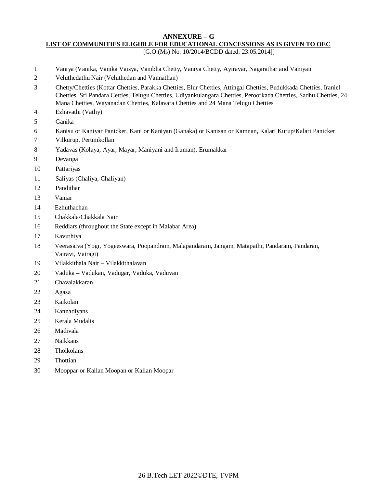#### **ANNEXURE – G**

**LIST OF COMMUNITIES ELIGIBLE FOR EDUCATIONAL CONCESSIONS AS IS GIVEN TO OEC**

[G.O.(Ms) No. 10/2014/BCDD dated: 23.05.2014]]

- Vaniya (Vanika, Vanika Vaisya, Vanibha Chetty, Vaniya Chetty, Ayiravar, Nagarathar and Vaniyan
- Veluthedathu Nair (Veluthedan and Vannathan)
- Chetty/Chetties (Kottar Chetties, Parakka Chetties, Elur Chetties, Attingal Chetties, Pudukkada Chetties, Iraniel Chetties, Sri Pandara Cetties, Telugu Chetties, Udiyankulangara Chetties, Peroorkada Chetties, Sadhu Chetties, 24 Mana Chetties, Wayanadan Chetties, Kalavara Chetties and 24 Mana Telugu Chetties
- Ezhavathi (Vathy)
- Ganika
- Kanisu or Kaniyar Panicker, Kani or Kaniyan (Ganaka) or Kanisan or Kamnan, Kalari Kurup/Kalari Panicker
- Vilkurup, Perumkollan
- Yadavas (Kolaya, Ayar, Mayar, Maniyani and Iruman), Erumakkar
- Devanga
- Pattariyas
- Saliyas (Chaliya, Chaliyan)
- Pandithar
- Vaniar
- Ezhuthachan
- Chakkala/Chakkala Nair
- Reddiars (throughout the State except in Malabar Area)
- Kavuthiya
- Veerasaiva (Yogi, Yogeeswara, Poopandram, Malapandaram, Jangam, Matapathi, Pandaram, Pandaran, Vairavi, Vairagi)
- Vilakkithala Nair Vilakkithalavan
- Vaduka Vadukan, Vadugar, Vaduka, Vaduvan
- Chavalakkaran
- Agasa
- Kaikolan
- Kannadiyans
- Kerala Mudalis
- Madivala
- Naikkans
- Tholkolans
- Thottian
- Mooppar or Kallan Moopan or Kallan Moopar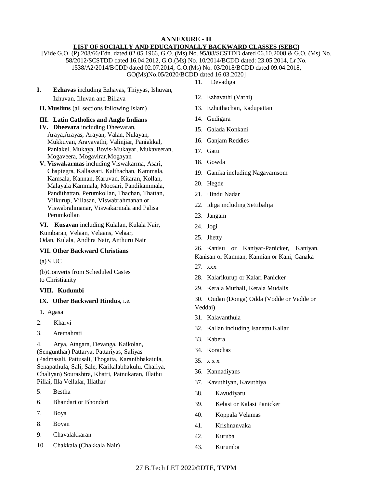# **ANNEXURE - H LIST OF SOCIALLY AND EDUCATIONALLY BACKWARD CLASSES (SEBC)**

[Vide G.O. (P) 208/66/Edn. dated 02.05.1966, G.O. (Ms) No. 95/08/SCSTDD dated 06.10.2008 & G.O. (Ms) No. 58/2012/SCSTDD dated 16.04.2012, G.O.(Ms) No. 10/2014/BCDD dated: 23.05.2014, Lr No. 1538/A2/2014/BCDD dated 02.07.2014, G.O.(Ms) No. 03/2018/BCDD dated 09.04.2018, GO(Ms)No.05/2020/BCDD dated 16.03.2020]

- 11. Devadiga
- **I. Ezhavas** including Ezhavas, Thiyyas, Ishuvan, Izhuvan, Illuvan and Billava
- **II. Muslims** (all sections following Islam)

# **III. Latin Catholics and Anglo Indians**

- **IV. Dheevara** including Dheevaran, Araya,Arayas, Arayan, Valan, Nulayan, Mukkuvan, Arayavathi, Valinjiar, Paniakkal, Paniakel, Mukaya, Bovis-Mukayar, Mukaveeran, Mogaveera, Mogavirar,Mogayan
- **V. Viswakarmas** including Viswakarma, Asari, Chaptegra, Kallassari, Kalthachan, Kammala, Kamsala, Kannan, Karuvan, Kitaran, Kollan, Malayala Kammala, Moosari, Pandikammala, Pandithattan, Perumkollan, Thachan, Thattan, Vilkurup, Villasan, Viswabrahmanan or Viswabrahmanar, Viswakarmala and Palisa Perumkollan

**VI. Kusavan** including Kulalan, Kulala Nair, Kumbaran, Velaan, Velaans, Velaar, Odan, Kulala, Andhra Nair, Anthuru Nair

# **VII. Other Backward Christians**

(a)SIUC

(b)Converts from Scheduled Castes to Christianity

# **VIII. Kudumbi**

#### **IX. Other Backward Hindus**, i.e.

- 1. Agasa
- 2. Kharvi
- 3. Aremahrati

4. Arya, Atagara, Devanga, Kaikolan, (Sengunthar) Pattarya, Pattariyas, Saliyas (Padmasali, Pattusali, Thogatta, Karanibhakatula, Senapathula, Sali, Sale, Karikalabhakulu, Chaliya, Chaliyan) Sourashtra, Khatri, Patnukaran, Illathu Pillai, Illa Vellalar, Illathar

- 5. Bestha
- 6. Bhandari or Bhondari
- 7. Boya
- 8. Boyan
- 9. Chavalakkaran
- 10. Chakkala (Chakkala Nair)
- 12. Ezhavathi (Vathi)
- 13. Ezhuthachan, Kadupattan
- 14. Gudigara
- 15. Galada Konkani
- 16. Ganjam Reddies
- 17. Gatti
- 18. Gowda
- 19. Ganika including Nagavamsom
- 20. Hegde
- 21. Hindu Nadar
- 22. Idiga including Settibalija
- 23. Jangam
- 24. Jogi
- 25. Jhetty

26. Kanisu or Kaniyar-Panicker, Kaniyan, Kanisan or Kamnan, Kannian or Kani, Ganaka

- 27. xxx
- 28. Kalarikurup or Kalari Panicker
- 29. Kerala Muthali, Kerala Mudalis
- 30. Oudan (Donga) Odda (Vodde or Vadde or Veddai)
- 31. Kalavanthula
- 32. Kallan including Isanattu Kallar
- 33. Kabera
- 34. Korachas
- 35. x x x
- 36. Kannadiyans
- 37. Kavuthiyan, Kavuthiya
- 38. Kavudiyaru
- 39. Kelasi or Kalasi Panicker
- 40. Koppala Velamas
- 41. Krishnanvaka
- 42. Kuruba
- 43. Kurumba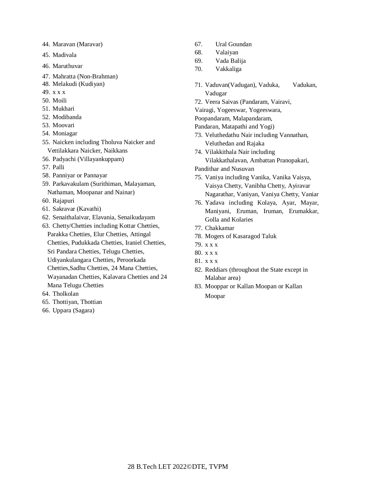- 44. Maravan (Maravar)
- 45. Madivala
- 46. Maruthuvar
- 47. Mahratta (Non-Brahman)
- 48. Melakudi (Kudiyan)
- 49. x x x
- 50. Moili
- 51. Mukhari
- 52. Modibanda
- 53. Moovari
- 54. Moniagar
- 55. Naicken including Tholuva Naicker and Vettilakkara Naicker, Naikkans
- 56. Padyachi (Villayankuppam)
- 57. Palli
- 58. Panniyar or Pannayar
- 59. Parkavakulam (Surithiman, Malayaman, Nathaman, Moopanar and Nainar)
- 60. Rajapuri
- 61. Sakravar (Kavathi)
- 62. Senaithalaivar, Elavania, Senaikudayam
- 63. Chetty/Chetties including Kottar Chetties, Parakka Chetties, Elur Chetties, Attingal Chetties, Pudukkada Chetties, Iraniel Chetties, Sri Pandara Chetties, Telugu Chetties, Udiyankulangara Chetties, Peroorkada Chetties,Sadhu Chetties, 24 Mana Chetties,
	- Wayanadan Chetties, Kalavara Chetties and 24 Mana Telugu Chetties
- 64. Tholkolan
- 65. Thottiyan, Thottian
- 66. Uppara (Sagara)
- 67. Ural Goundan
- 68. Valaiyan
- 69. Vada Balija
- 70. Vakkaliga
- 71. Vaduvan(Vadugan), Vaduka, Vadukan, Vadugar
- 72. Veera Saivas (Pandaram, Vairavi,
- Vairagi, Yogeeswar, Yogeeswara,
- Poopandaram, Malapandaram,
- Pandaran, Matapathi and Yogi)
- 73. Veluthedathu Nair including Vannathan, Veluthedan and Rajaka
- 74. Vilakkithala Nair including Vilakkathalavan, Ambattan Pranopakari,
- Pandithar and Nusuvan
- 75. Vaniya including Vanika, Vanika Vaisya, Vaisya Chetty, Vanibha Chetty, Ayiravar Nagarathar, Vaniyan, Vaniya Chetty, Vaniar
- 76. Yadava including Kolaya, Ayar, Mayar, Maniyani, Eruman, Iruman, Erumakkar, Golla and Kolaries
- 77. Chakkamar
- 78. Mogers of Kasaragod Taluk
- 79. x x x
- 80. x x x
- 81. x x x
- 82. Reddiars (throughout the State except in Malabar area)
- 83. Mooppar or Kallan Moopan or Kallan Moopar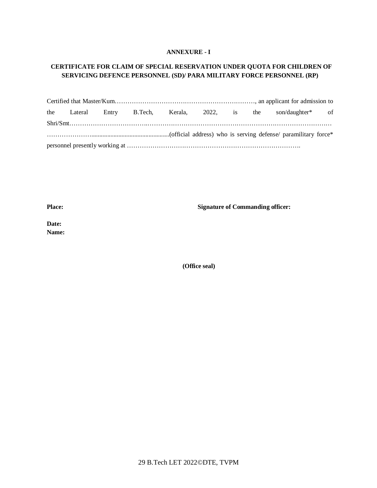# **ANNEXURE - I**

# **CERTIFICATE FOR CLAIM OF SPECIAL RESERVATION UNDER QUOTA FOR CHILDREN OF SERVICING DEFENCE PERSONNEL (SD)/ PARA MILITARY FORCE PERSONNEL (RP)**

|  |  |  |  |  |  |  | the Lateral Entry B.Tech, Kerala, 2022, is the son/daughter* of |  |
|--|--|--|--|--|--|--|-----------------------------------------------------------------|--|
|  |  |  |  |  |  |  |                                                                 |  |
|  |  |  |  |  |  |  |                                                                 |  |
|  |  |  |  |  |  |  |                                                                 |  |

**Place: Signature of Commanding officer:**

**Date: Name:**

**(Office seal)**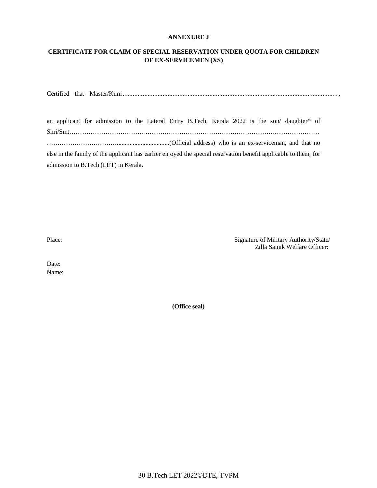#### **ANNEXURE J**

# **CERTIFICATE FOR CLAIM OF SPECIAL RESERVATION UNDER QUOTA FOR CHILDREN OF EX-SERVICEMEN (XS)**

Certified that Master/Kum................................................................................................................................. ,

an applicant for admission to the Lateral Entry B.Tech, Kerala 2022 is the son/ daughter\* of Shri/Smt……………………………….……………………………………………………………………… …………………………….................................(Official address) who is an ex-serviceman, and that no else in the family of the applicant has earlier enjoyed the special reservation benefit applicable to them, for admission to B.Tech (LET) in Kerala.

Place: Signature of Military Authority/State/ Zilla Sainik Welfare Officer:

Date: Name:

**(Office seal)**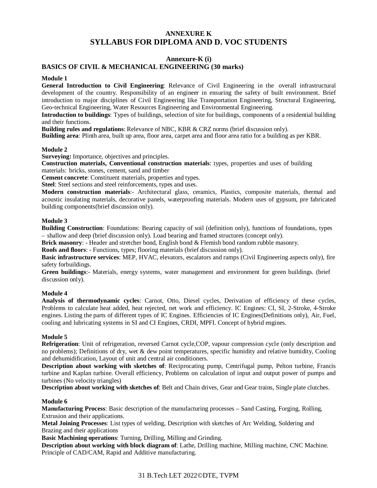# **ANNEXURE K SYLLABUS FOR DIPLOMA AND D. VOC STUDENTS**

### **Annexure-K (i)**

# **BASICS OF CIVIL & MECHANICAL ENGINEERING (30 marks)**

### **Module 1**

**General Introduction to Civil Engineering**: Relevance of Civil Engineering in the overall infrastructural development of the country. Responsibility of an engineer in ensuring the safety of built environment. Brief introduction to major disciplines of Civil Engineering like Transportation Engineering, Structural Engineering, Geo-technical Engineering, Water Resources Engineering and Environmental Engineering.

**Introduction to buildings**: Types of buildings, selection of site for buildings, components of a residential building and their functions.

**Building rules and regulations**: Relevance of NBC, KBR & CRZ norms (brief discussion only).

**Building area**: Plinth area, built up area, floor area, carpet area and floor area ratio for a building as per KBR.

#### **Module 2**

**Surveying:** Importance, objectives and principles.

**Construction materials, Conventional construction materials**: types, properties and uses of building materials: bricks, stones, cement, sand and timber

**Cement concrete**: Constituent materials, properties and types.

**Steel**: Steel sections and steel reinforcements, types and uses.

**Modern construction materials**:- Architectural glass, ceramics, Plastics, composite materials, thermal and acoustic insulating materials, decorative panels, waterproofing materials. Modern uses of gypsum, pre fabricated building components(brief discussion only).

#### **Module 3**

**Building Construction**: Foundations: Bearing capacity of soil (definition only), functions of foundations, types – shallow and deep (brief discussion only). Load bearing and framed structures (concept only).

**Brick masonry**: - Header and stretcher bond, English bond & Flemish bond random rubble masonry.

**Roofs and floors**: - Functions, types; flooring materials (brief discussion only).

**Basic infrastructure services**: MEP, HVAC, elevators, escalators and ramps (Civil Engineering aspects only), fire safety forbuildings.

**Green buildings**:- Materials, energy systems, water management and environment for green buildings. (brief discussion only).

#### **Module 4**

**Analysis of thermodynamic cycles**: Carnot, Otto, Diesel cycles, Derivation of efficiency of these cycles, Problems to calculate heat added, heat rejected, net work and efficiency. IC Engines: CI, SI, 2-Stroke, 4-Stroke engines. Listing the parts of different types of IC Engines. Efficiencies of IC Engines(Definitions only), Air, Fuel, cooling and lubricating systems in SI and CI Engines, CRDI, MPFI. Concept of hybrid engines.

#### **Module 5**

**Refrigeration**: Unit of refrigeration, reversed Carnot cycle,COP, vapour compression cycle (only description and no problems); Definitions of dry, wet & dew point temperatures, specific humidity and relative humidity, Cooling and dehumidification, Layout of unit and central air conditioners.

**Description about working with sketches of**: Reciprocating pump, Centrifugal pump, Pelton turbine, Francis turbine and Kaplan turbine. Overall efficiency, Problems on calculation of input and output power of pumps and turbines (No velocity triangles)

**Description about working with sketches of**: Belt and Chain drives, Gear and Gear trains, Single plate clutches.

#### **Module 6**

**Manufacturing Process**: Basic description of the manufacturing processes – Sand Casting, Forging, Rolling, Extrusion and their applications.

**Metal Joining Processes**: List types of welding, Description with sketches of Arc Welding, Soldering and Brazing and their applications

**Basic Machining operations**: Turning, Drilling, Milling and Grinding.

**Description about working with block diagram of**: Lathe, Drilling machine, Milling machine, CNC Machine. Principle of CAD/CAM, Rapid and Additive manufacturing.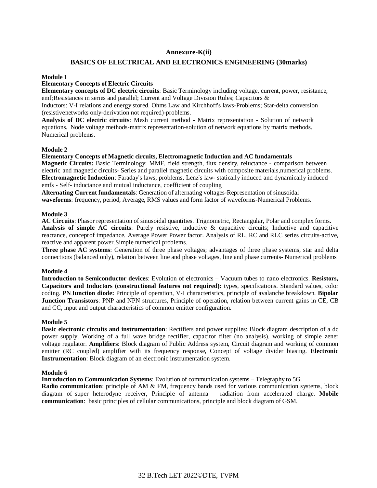### **Annexure-K(ii)**

#### **BASICS OF ELECTRICAL AND ELECTRONICS ENGINEERING (30marks)**

#### **Module 1**

# **Elementary Concepts of Electric Circuits**

**Elementary concepts of DC electric circuits**: Basic Terminology including voltage, current, power, resistance, emf;Resistances in series and parallel; Current and Voltage Division Rules; Capacitors &

Inductors: V-I relations and energy stored. Ohms Law and Kirchhoff's laws-Problems; Star-delta conversion (resistivenetworks only-derivation not required)-problems.

**Analysis of DC electric circuits**: Mesh current method - Matrix representation - Solution of network equations. Node voltage methods-matrix representation-solution of network equations by matrix methods. Numerical problems.

#### **Module 2**

#### **Elementary Concepts of Magnetic circuits, Electromagnetic Induction and AC fundamentals**

**Magnetic Circuits:** Basic Terminology: MMF, field strength, flux density, reluctance - comparison between electric and magnetic circuits- Series and parallel magnetic circuits with composite materials,numerical problems. **Electromagnetic Induction**: Faraday's laws, problems, Lenz's law- statically induced and dynamically induced emfs - Self- inductance and mutual inductance, coefficient of coupling

**Alternating Current fundamentals**: Generation of alternating voltages-Representation of sinusoidal **waveforms**: frequency, period, Average, RMS values and form factor of waveforms-Numerical Problems.

#### **Module 3**

**AC Circuits**: Phasor representation of sinusoidal quantities. Trignometric, Rectangular, Polar and complex forms. **Analysis of simple AC circuits**: Purely resistive, inductive & capacitive circuits; Inductive and capacitive reactance, conceptof impedance. Average Power Power factor. Analysis of RL, RC and RLC series circuits-active, reactive and apparent power.Simple numerical problems.

**Three phase AC systems**: Generation of three phase voltages; advantages of three phase systems, star and delta connections (balanced only), relation between line and phase voltages, line and phase currents- Numerical problems

#### **Module 4**

**Introduction to Semiconductor devices**: Evolution of electronics – Vacuum tubes to nano electronics. **Resistors, Capacitors and Inductors (constructional features not required):** types, specifications. Standard values, color coding. **PNJunction diode:** Principle of operation, V-I characteristics, principle of avalanche breakdown. **Bipolar Junction Transistors**: PNP and NPN structures, Principle of operation, relation between current gains in CE, CB and CC, input and output characteristics of common emitter configuration.

#### **Module 5**

**Basic electronic circuits and instrumentation**: Rectifiers and power supplies: Block diagram description of a dc power supply, Working of a full wave bridge rectifier, capacitor filter (no analysis), working of simple zener voltage regulator. **Amplifiers**: Block diagram of Public Address system, Circuit diagram and working of common emitter (RC coupled) amplifier with its frequency response, Concept of voltage divider biasing. **Electronic Instrumentation**: Block diagram of an electronic instrumentation system.

#### **Module 6**

**Introduction to Communication Systems**: Evolution of communication systems – Telegraphy to 5G.

**Radio communication**: principle of AM & FM, frequency bands used for various communication systems, block diagram of super heterodyne receiver, Principle of antenna – radiation from accelerated charge. **Mobile communication**: basic principles of cellular communications, principle and block diagram of GSM.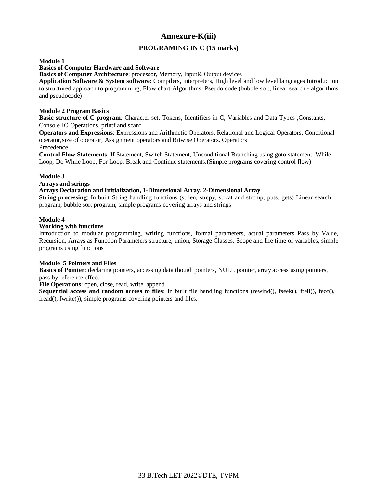# **Annexure-K(iii)**

# **PROGRAMING IN C (15 marks)**

#### **Module 1**

# **Basics of Computer Hardware and Software**

**Basics of Computer Architecture**: processor, Memory, Input& Output devices

**Application Software & System software**: Compilers, interpreters, High level and low level languages Introduction to structured approach to programming, Flow chart Algorithms, Pseudo code (bubble sort, linear search - algorithms and pseudocode)

#### **Module 2 Program Basics**

**Basic structure of C program**: Character set, Tokens, Identifiers in C, Variables and Data Types ,Constants, Console IO Operations, printf and scanf

**Operators and Expressions**: Expressions and Arithmetic Operators, Relational and Logical Operators, Conditional operator,size of operator, Assignment operators and Bitwise Operators. Operators

# Precedence

**Control Flow Statements**: If Statement, Switch Statement, Unconditional Branching using goto statement, While Loop, Do While Loop, For Loop, Break and Continue statements.(Simple programs covering control flow)

# **Module 3**

#### **Arrays and strings**

#### **Arrays Declaration and Initialization, 1-Dimensional Array, 2-Dimensional Array**

**String processing**: In built String handling functions (strlen, strcpy, strcat and strcmp, puts, gets) Linear search program, bubble sort program, simple programs covering arrays and strings

#### **Module 4**

#### **Working with functions**

Introduction to modular programming, writing functions, formal parameters, actual parameters Pass by Value, Recursion, Arrays as Function Parameters structure, union, Storage Classes, Scope and life time of variables, simple programs using functions

#### **Module 5 Pointers and Files**

**Basics of Pointer**: declaring pointers, accessing data though pointers, NULL pointer, array access using pointers, pass by reference effect

**File Operations**: open, close, read, write, append .

**Sequential access and <b>random** access to files: In built file handling functions (rewind(), fseek(), ftell(), feof(), fread(), fwrite()), simple programs covering pointers and files.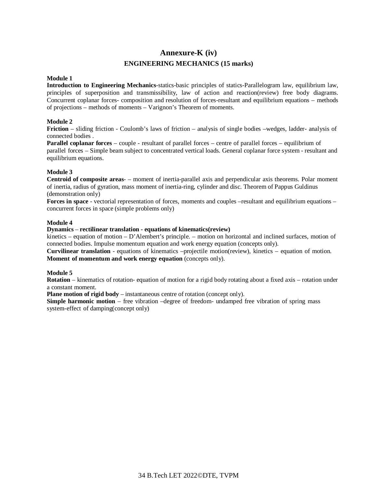# **Annexure-K (iv) ENGINEERING MECHANICS (15 marks)**

#### **Module 1**

**Introduction to Engineering Mechanics**-statics-basic principles of statics-Parallelogram law, equilibrium law, principles of superposition and transmissibility, law of action and reaction(review) free body diagrams. Concurrent coplanar forces- composition and resolution of forces-resultant and equilibrium equations – methods of projections – methods of moments – Varignon's Theorem of moments.

### **Module 2**

**Friction** – sliding friction - Coulomb's laws of friction – analysis of single bodies –wedges, ladder- analysis of connected bodies .

**Parallel coplanar forces** – couple - resultant of parallel forces – centre of parallel forces – equilibrium of parallel forces – Simple beam subject to concentrated vertical loads. General coplanar force system - resultant and equilibrium equations.

#### **Module 3**

**Centroid of composite areas**- – moment of inertia-parallel axis and perpendicular axis theorems. Polar moment of inertia, radius of gyration, mass moment of inertia-ring, cylinder and disc. Theorem of Pappus Guldinus (demonstration only)

**Forces in space** - vectorial representation of forces, moments and couples –resultant and equilibrium equations – concurrent forces in space (simple problems only)

#### **Module 4**

#### **Dynamics** – **rectilinear translation - equations of kinematics(review)**

kinetics – equation of motion – D'Alembert's principle. – motion on horizontal and inclined surfaces, motion of connected bodies. Impulse momentum equation and work energy equation (concepts only).

**Curvilinear translation** - equations of kinematics –projectile motion(review), kinetics – equation of motion. **Moment of momentum and work energy equation** (concepts only).

#### **Module 5**

**Rotation** – kinematics of rotation- equation of motion for a rigid body rotating about a fixed axis – rotation under a constant moment.

**Plane motion of rigid body** – instantaneous centre of rotation (concept only).

**Simple harmonic motion** – free vibration –degree of freedom- undamped free vibration of spring mass system-effect of damping(concept only)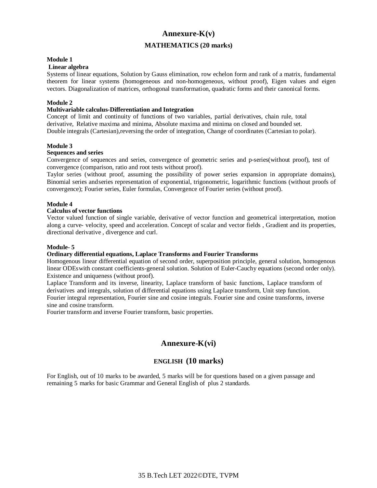# **Annexure-K(v)**

# **MATHEMATICS (20 marks)**

#### **Module 1**

#### **Linear algebra**

Systems of linear equations, Solution by Gauss elimination, row echelon form and rank of a matrix, fundamental theorem for linear systems (homogeneous and non-homogeneous, without proof), Eigen values and eigen vectors. Diagonalization of matrices, orthogonal transformation, quadratic forms and their canonical forms.

#### **Module 2**

#### **Multivariable calculus-Differentiation and Integration**

Concept of limit and continuity of functions of two variables, partial derivatives, chain rule, total derivative, Relative maxima and minima, Absolute maxima and minima on closed and bounded set. Double integrals (Cartesian),reversing the order of integration, Change of coordinates (Cartesian to polar).

#### **Module 3**

#### **Sequences and series**

Convergence of sequences and series, convergence of geometric series and p-series(without proof), test of convergence (comparison, ratio and root tests without proof).

Taylor series (without proof, assuming the possibility of power series expansion in appropriate domains), Binomial series andseries representation of exponential, trigonometric, logarithmic functions (without proofs of convergence); Fourier series, Euler formulas, Convergence of Fourier series (without proof).

# **Module 4**

# **Calculus of vector functions**

Vector valued function of single variable, derivative of vector function and geometrical interpretation, motion along a curve- velocity, speed and acceleration. Concept of scalar and vector fields , Gradient and its properties, directional derivative , divergence and curl.

#### **Module- 5**

#### **Ordinary differential equations, Laplace Transforms and Fourier Transforms**

Homogenous linear differential equation of second order, superposition principle, general solution, homogenous linear ODEswith constant coefficients-general solution. Solution of Euler-Cauchy equations (second order only). Existence and uniqueness (without proof).

Laplace Transform and its inverse, linearity, Laplace transform of basic functions, Laplace transform of derivatives and integrals, solution of differential equations using Laplace transform, Unit step function. Fourier integral representation, Fourier sine and cosine integrals. Fourier sine and cosine transforms, inverse sine and cosine transform.

Fourier transform and inverse Fourier transform, basic properties.

# **Annexure-K(vi)**

# **ENGLISH (10 marks)**

For English, out of 10 marks to be awarded, 5 marks will be for questions based on a given passage and remaining 5 marks for basic Grammar and General English of plus 2 standards.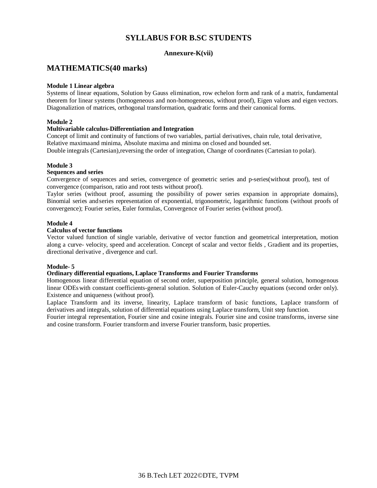# **SYLLABUS FOR B.SC STUDENTS**

# **Annexure-K(vii)**

# **MATHEMATICS(40 marks)**

#### **Module 1 Linear algebra**

Systems of linear equations, Solution by Gauss elimination, row echelon form and rank of a matrix, fundamental theorem for linear systems (homogeneous and non-homogeneous, without proof), Eigen values and eigen vectors. Diagonaliztion of matrices, orthogonal transformation, quadratic forms and their canonical forms.

### **Module 2**

#### **Multivariable calculus-Differentiation and Integration**

Concept of limit and continuity of functions of two variables, partial derivatives, chain rule, total derivative, Relative maximaand minima, Absolute maxima and minima on closed and bounded set.

Double integrals (Cartesian),reversing the order of integration, Change of coordinates (Cartesian to polar).

#### **Module 3**

#### **Sequences and series**

Convergence of sequences and series, convergence of geometric series and p-series(without proof), test of convergence (comparison, ratio and root tests without proof).

Taylor series (without proof, assuming the possibility of power series expansion in appropriate domains), Binomial series andseries representation of exponential, trigonometric, logarithmic functions (without proofs of convergence); Fourier series, Euler formulas, Convergence of Fourier series (without proof).

#### **Module 4**

### **Calculus of vector functions**

Vector valued function of single variable, derivative of vector function and geometrical interpretation, motion along a curve- velocity, speed and acceleration. Concept of scalar and vector fields , Gradient and its properties, directional derivative , divergence and curl.

#### **Module- 5**

#### **Ordinary differential equations, Laplace Transforms and Fourier Transforms**

Homogenous linear differential equation of second order, superposition principle, general solution, homogenous linear ODEswith constant coefficients-general solution. Solution of Euler-Cauchy equations (second order only). Existence and uniqueness (without proof).

Laplace Transform and its inverse, linearity, Laplace transform of basic functions, Laplace transform of derivatives and integrals, solution of differential equations using Laplace transform, Unit step function.

Fourier integral representation, Fourier sine and cosine integrals. Fourier sine and cosine transforms, inverse sine and cosine transform. Fourier transform and inverse Fourier transform, basic properties.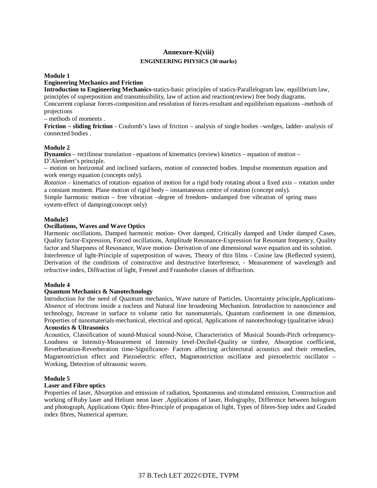# **Annexure-K(viii) ENGINEERING PHYSICS (30 marks)**

#### **Module 1**

# **Engineering Mechanics and Friction**

**Introduction to Engineering Mechanics**-statics-basic principles of statics-Parallelogram law, equilibrium law, principles of superposition and transmissibility, law of action and reaction(review) free body diagrams.

Concurrent coplanar forces-composition and resolution of forces-resultant and equilibrium equations –methods of projections

– methods of moments .

**Friction – sliding friction** - Coulomb's laws of friction – analysis of single bodies –wedges, ladder- analysis of connected bodies .

#### **Module 2**

**Dynamics** – rectilinear translation - equations of kinematics (review) kinetics – equation of motion – D'Alembert's principle.

– motion on horizontal and inclined surfaces, motion of connected bodies. Impulse momentum equation and work energy equation (concepts only).

*Rotation –* kinematics of rotation- equation of motion for a rigid body rotating about a fixed axis – rotation under a constant moment. Plane motion of rigid body – instantaneous centre of rotation (concept only).

Simple harmonic motion – free vibration –degree of freedom- undamped free vibration of spring mass system-effect of damping(concept only)

#### **Module3**

#### **Oscillations, Waves and Wave Optics**

Harmonic oscillations, Damped harmonic motion- Over damped, Critically damped and Under damped Cases, Quality factor-Expression, Forced oscillations, Amplitude Resonance-Expression for Resonant frequency, Quality factor and Sharpness of Resonance, Wave motion- Derivation of one dimensional wave equation and its solution. Interference of light-Principle of superposition of waves, Theory of thin films - Cosine law (Reflected system), Derivation of the conditions of constructive and destructive Interference, - Measurement of wavelength and refractive index, Diffraction of light, Fresnel and Fraunhofer classes of diffraction.

#### **Module 4**

#### **Quantum Mechanics & Nanotechnology**

Introduction for the need of Quantum mechanics, Wave nature of Particles, Uncertainty principle,Applications-Absence of electrons inside a nucleus and Natural line broadening Mechanism. Introduction to nanoscience and technology, Increase in surface to volume ratio for nanomaterials, Quantum confinement in one dimension, Properties of nanomaterials-mechanical, electrical and optical, Applications of nanotechnology (qualitative ideas) **Acoustics & Ultrasonics**

Acoustics, Classification of sound-Musical sound-Noise, Characteristics of Musical Sounds-Pitch orfrequency-Loudness or Intensity-Measurement of Intensity level-Decibel-Quality or timbre, Absorption coefficient, Reverberation-Reverberation time-Significance- Factors affecting architectural acoustics and their remedies, Magnetostriction effect and Piezoelectric effect, Magnetostriction oscillator and piezoelectric oscillator – Working, Detection of ultrasonic waves.

#### **Module 5**

#### **Laser and Fibre optics**

Properties of laser, Absorption and emission of radiation, Spontaneous and stimulated emission, Construction and working ofRuby laser and Helium neon laser .Applications of laser, Holography, Difference between hologram and photograph, Applications Optic fibre-Principle of propagation of light, Types of fibres-Step index and Graded index fibres, Numerical aperture.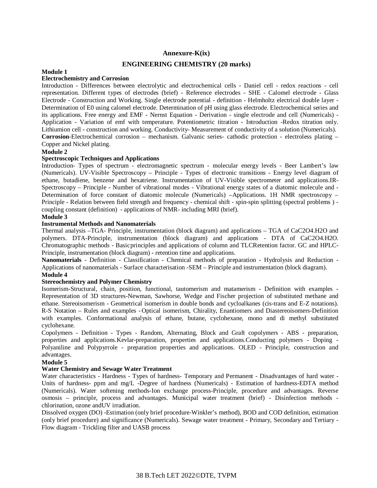### **Annexure-K(ix)**

# **ENGINEERING CHEMISTRY (20 marks)**

# **Module 1**

## **Electrochemistry and Corrosion**

Introduction - Differences between electrolytic and electrochemical cells - Daniel cell - redox reactions - cell representation. Different types of electrodes (brief) - Reference electrodes - SHE - Calomel electrode - Glass Electrode - Construction and Working. Single electrode potential - definition - Helmholtz electrical double layer - Determination of E0 using calomel electrode. Determination of pH using glass electrode. Electrochemical series and its applications. Free energy and EMF - Nernst Equation - Derivation - single electrode and cell (Numericals) - Application - Variation of emf with temperature. Potentiometric titration - Introduction -Redox titration only. Lithiumion cell - construction and working. Conductivity- Measurement of conductivity of a solution (Numericals). **Corrosion**-Electrochemical corrosion – mechanism. Galvanic series- cathodic protection - electroless plating – Copper and Nickel plating.

#### **Module 2**

#### **Spectroscopic Techniques and Applications**

Introduction- Types of spectrum - electromagnetic spectrum - molecular energy levels - Beer Lambert's law (Numericals). UV-Visible Spectroscopy – Principle - Types of electronic transitions - Energy level diagram of ethane, butadiene, benzene and hexatriene. Instrumentation of UV-Visible spectrometer and applications.IR-Spectroscopy – Principle - Number of vibrational modes - Vibrational energy states of a diatomic molecule and - Determination of force constant of diatomic molecule (Numericals) –Applications. 1H NMR spectroscopy – Principle - Relation between field strength and frequency - chemical shift - spin-spin splitting (spectral problems ) coupling constant (definition) - applications of NMR- including MRI (brief).

### **Module 3**

#### **Instrumental Methods and Nanomaterials**

Thermal analysis –TGA- Principle, instrumentation (block diagram) and applications – TGA of CaC2O4.H2O and polymers. DTA-Principle, instrumentation (block diagram) and applications - DTA of CaC2O4.H2O. Chromatographic methods - Basicprinciples and applications of column and TLCRetention factor. GC and HPLC-Principle, instrumentation (block diagram) - retention time and applications.

**Nanomaterials** - Definition - Classification - Chemical methods of preparation - Hydrolysis and Reduction - Applications of nanomaterials - Surface characterisation -SEM – Principle and instrumentation (block diagram).

# **Module 4**

#### **Stereochemistry and Polymer Chemistry**

Isomerism-Structural, chain, position, functional, tautomerism and matamerism - Definition with examples - Representation of 3D structures-Newman, Sawhorse, Wedge and Fischer projection of substituted methane and ethane. Stereoisomerism - Geometrical isomerism in double bonds and cycloalkanes (cis-trans and E-Z notations). R-S Notation – Rules and examples - Optical isomerism, Chirality, Enantiomers and Diastereoisomers-Definition with examples. Conformational analysis of ethane, butane, cyclohexane, mono and di methyl substituted cyclohexane.

Copolymers - Definition - Types - Random, Alternating, Block and Graft copolymers - ABS - preparation, properties and applications.Kevlar-preparation, properties and applications.Conducting polymers - Doping - Polyaniline and Polypyrrole - preparation properties and applications. OLED - Principle, construction and advantages.

#### **Module 5**

#### **Water Chemistry and Sewage Water Treatment**

Water characteristics - Hardness - Types of hardness- Temporary and Permanent - Disadvantages of hard water - Units of hardness- ppm and mg/L -Degree of hardness (Numericals) - Estimation of hardness-EDTA method (Numericals). Water softening methods-Ion exchange process-Principle, procedure and advantages. Reverse osmosis – principle, process and advantages. Municipal water treatment (brief) - Disinfection methods chlorination, ozone andUV irradiation.

Dissolved oxygen (DO) -Estimation (only brief procedure-Winkler's method), BOD and COD definition, estimation (only brief procedure) and significance (Numericals). Sewage water treatment - Primary, Secondary and Tertiary - Flow diagram - Trickling filter and UASB process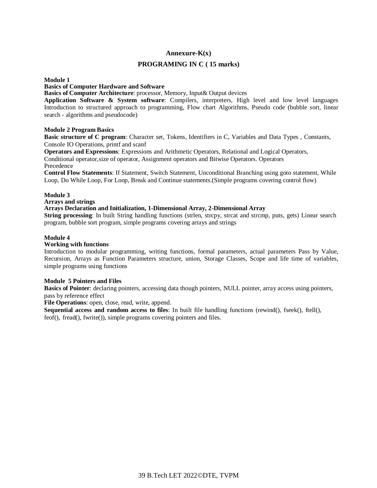# **Annexure-K(x)**

# **PROGRAMING IN C ( 15 marks)**

**Module 1**

#### **Basics of Computer Hardware and Software**

**Basics of Computer Architecture**: processor, Memory, Input& Output devices

**Application Software & System software**: Compilers, interpreters, High level and low level languages Introduction to structured approach to programming, Flow chart Algorithms, Pseudo code (bubble sort, linear search - algorithms and pseudocode)

#### **Module 2 Program Basics**

**Basic structure of C program**: Character set, Tokens, Identifiers in C, Variables and Data Types , Constants, Console IO Operations, printf and scanf

**Operators and Expressions**: Expressions and Arithmetic Operators, Relational and Logical Operators,

Conditional operator,size of operator, Assignment operators and Bitwise Operators. Operators Precedence

**Control Flow Statements**: If Statement, Switch Statement, Unconditional Branching using goto statement, While Loop, Do While Loop, For Loop, Break and Continue statements.(Simple programs covering control flow)

#### **Module 3**

**Arrays and strings**

#### **Arrays Declaration and Initialization, 1-Dimensional Array, 2-Dimensional Array**

**String processing**: In built String handling functions (strlen, strcpy, strcat and strcmp, puts, gets) Linear search program, bubble sort program, simple programs covering arrays and strings

#### **Module 4**

#### **Working with functions**

Introduction to modular programming, writing functions, formal parameters, actual parameters Pass by Value, Recursion, Arrays as Function Parameters structure, union, Storage Classes, Scope and life time of variables, simple programs using functions

#### **Module 5 Pointers and Files**

**Basics of Pointer**: declaring pointers, accessing data though pointers, NULL pointer, array access using pointers, pass by reference effect

**File Operations**: open, close, read, write, append.

**Sequential access and random access to files**: In built file handling functions (rewind(), fseek(), ftell(), feof(), fread(), fwrite()), simple programs covering pointers and files.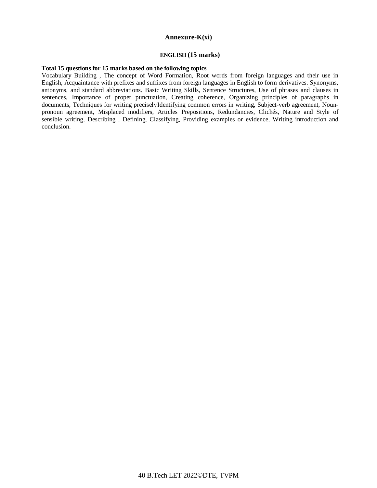#### **Annexure-K(xi)**

#### **ENGLISH (15 marks)**

#### **Total 15 questions for 15 marks based on the following topics**

Vocabulary Building , The concept of Word Formation, Root words from foreign languages and their use in English, Acquaintance with prefixes and suffixes from foreign languages in English to form derivatives. Synonyms, antonyms, and standard abbreviations. Basic Writing Skills, Sentence Structures, Use of phrases and clauses in sentences, Importance of proper punctuation, Creating coherence, Organizing principles of paragraphs in documents, Techniques for writing preciselyIdentifying common errors in writing, Subject-verb agreement, Nounpronoun agreement, Misplaced modifiers, Articles Prepositions, Redundancies, Clichés, Nature and Style of sensible writing, Describing , Defining, Classifying, Providing examples or evidence, Writing introduction and conclusion.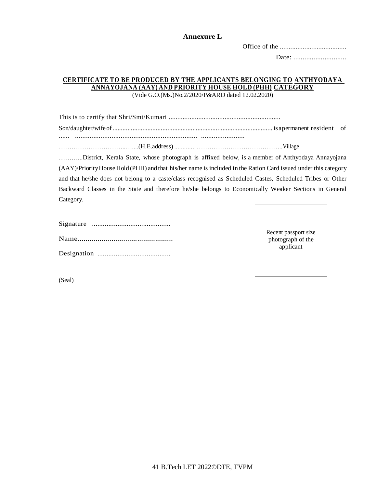# **Annexure L**

Office of the ......................................

Date: .............................

# **CERTIFICATE TO BE PRODUCED BY THE APPLICANTS BELONGING TO ANTHYODAYA ANNAYOJANA (AAY) AND PRIORITY HOUSE HOLD (PHH) CATEGORY**

(Vide G.O.(Ms.)No.2/2020/P&ARD dated 12.02.2020)

This is to certify that Shri/Smt/Kumari ................................................................ Son/daughter/wifeof................................................................................................ is apermanent resident of ...... ................................................................... ........................

…………………………..…....(H.E.address) .............…………………………………..Village

………...District, Kerala State, whose photograph is affixed below, is a member of Anthyodaya Annayojana (AAY)/PriorityHouse Hold (PHH) and that his/her name is included in the Ration Card issued under this category and that he/she does not belong to a caste/class recognised as Scheduled Castes, Scheduled Tribes or Other Backward Classes in the State and therefore he/she belongs to Economically Weaker Sections in General Category.

Recent passport size photograph of the applicant

(Seal)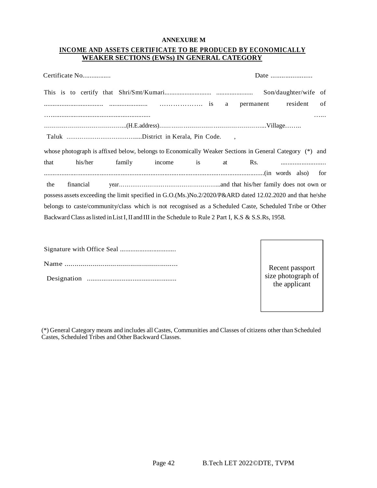#### **ANNEXURE M**

# **INCOME AND ASSETS CERTIFICATE TO BE PRODUCED BY ECONOMICALLY WEAKER SECTIONS (EWSs) IN GENERAL CATEGORY**

|      | Certificate No |                                                                                                           |    |           |                      |     |
|------|----------------|-----------------------------------------------------------------------------------------------------------|----|-----------|----------------------|-----|
|      |                |                                                                                                           |    |           | Son/daughter/wife of |     |
|      |                |                                                                                                           |    | permanent | resident             | of  |
|      |                |                                                                                                           |    |           |                      |     |
|      |                |                                                                                                           |    |           |                      |     |
|      |                |                                                                                                           |    |           |                      |     |
|      |                |                                                                                                           |    |           |                      |     |
|      |                | whose photograph is affixed below, belongs to Economically Weaker Sections in General Category (*) and    |    |           |                      |     |
|      | his/her        | family income is                                                                                          | at | Rs.       |                      |     |
|      |                |                                                                                                           |    |           |                      | for |
| the  | financial      |                                                                                                           |    |           |                      |     |
|      |                | possess assets exceeding the limit specified in G.O.(Ms.)No.2/2020/P&ARD dated 12.02.2020 and that he/she |    |           |                      |     |
| that |                | belongs to caste/community/class which is not recognised as a Scheduled Caste, Scheduled Tribe or Other   |    |           |                      |     |

Recent passport size photograph of the applicant

(\*) General Category means and includes all Castes, Communities and Classes of citizens other than Scheduled Castes, Scheduled Tribes and Other Backward Classes.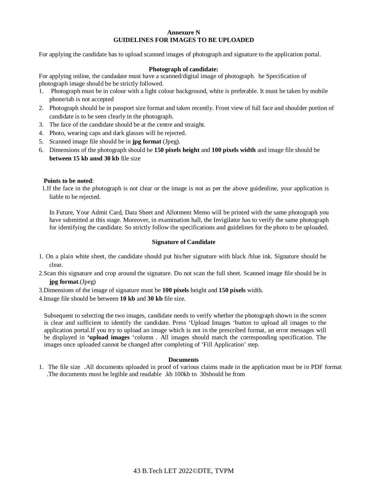#### **Annexure N GUIDELINES FOR IMAGES TO BE UPLOADED**

For applying the candidate has to upload scanned images of photograph and signature to the application portal.

#### **Photograph of candidate:**

For applying online, the candadate must have a scanned/digital image of photograph. he Specification of photograph image should be be strictly followed.

- 1. Photograph must be in colour with a light colour background, white is preferable. It must be taken by mobile phone/tab is not accepted
- 2. Photograph should be in passport size format and taken recently. Front view of full face and shoulder portion of candidate is to be seen clearly in the photograph.
- 3. The face of the candidate should be at the centre and straight.
- 4. Photo, wearing caps and dark glasses will be rejected.
- 5. Scanned image file should be in **jpg format** (Jpeg).
- 6. Dimensions of the photograph should be **150 pixels height** and **100 pixels width** and image file should be **between 15 kb ansd 30 kb** file size

#### **Points to be noted**:

 1.If the face in the photograph is not clear or the image is not as per the above guidenline, your application is liable to be rejected.

In Future, Your Admit Card, Data Sheet and Allotment Memo will be printed with the same photograph you have submitted at this stage. Moreover, in examination hall, the Invigilator has to verify the same photograph for identifying the candidate. So strictly follow the specifications and guidelines for the photo to be uploaded.

#### **Signature of Candidate**

- 1. On a plain white sheet, the candidate should put his/her signature with black /blue ink. Signature should be clear.
- 2.Scan this signature and crop around the signature. Do not scan the full sheet. Scanned image file should be in **jpg format**.(Jpeg)
- 3.Dimensions of the image of signature must be **100 pixels** height and **150 pixels** width.
- 4.Image file should be between **10 kb** and **30 kb** file size.

Subsequent to selecting the two images, candidate needs to verify whether the photograph shown in the screen is clear and sufficient to identify the candidate. Press 'Upload Images 'button to upload all images to the application portal.If you try to upload an image which is not in the prescribed format, an error messages will be displayed in **'upload images** 'column . All images should match the corresponding specification. The images once uploaded cannot be changed after completing of 'Fill Application' step.

#### **Documents**

1. The file size .All documents uploaded in proof of various claims made in the application must be in PDF format .The documents must be legible and readable .kb 100kb to 30should be from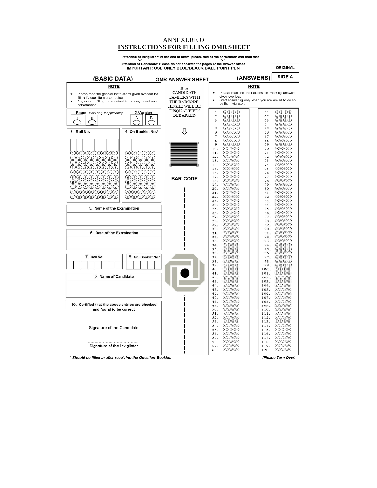# ANNEXURE O **INSTRUCTIONS FOR FILLING OMR SHEET**

| --≫<--<br>.≍-<br>Attention of Candidate: Please do not separate the pages of the Answer Sheet                 |                                                        |                                                      |                                                                                                                                                                                                                                                                                                                                                                                                 |                                                                                                                                                                                                                                                                                                                                                                                   |
|---------------------------------------------------------------------------------------------------------------|--------------------------------------------------------|------------------------------------------------------|-------------------------------------------------------------------------------------------------------------------------------------------------------------------------------------------------------------------------------------------------------------------------------------------------------------------------------------------------------------------------------------------------|-----------------------------------------------------------------------------------------------------------------------------------------------------------------------------------------------------------------------------------------------------------------------------------------------------------------------------------------------------------------------------------|
|                                                                                                               |                                                        | <b>IMPORTANT: USE ONLY BLUE/BLACK BALL POINT PEN</b> |                                                                                                                                                                                                                                                                                                                                                                                                 | <b>ORIGINAL</b>                                                                                                                                                                                                                                                                                                                                                                   |
| (BASIC DATA)                                                                                                  |                                                        | <b>OMR ANSWER SHEET</b>                              | (ANSWERS)                                                                                                                                                                                                                                                                                                                                                                                       | <b>SIDE A</b>                                                                                                                                                                                                                                                                                                                                                                     |
|                                                                                                               |                                                        |                                                      |                                                                                                                                                                                                                                                                                                                                                                                                 |                                                                                                                                                                                                                                                                                                                                                                                   |
| <b>NOTE</b>                                                                                                   |                                                        | IF A                                                 | NOTE                                                                                                                                                                                                                                                                                                                                                                                            |                                                                                                                                                                                                                                                                                                                                                                                   |
| Please read the general instructions given overleaf for<br>*                                                  |                                                        | CANDIDATE                                            | Please read the Instructions for marking answers<br>given overleaf.                                                                                                                                                                                                                                                                                                                             |                                                                                                                                                                                                                                                                                                                                                                                   |
| filling IN each item given below.<br>Any error in filling the required items may upset your                   |                                                        | <b>TAMPERS WITH</b><br>THE BARCODE,                  | Start answering only when you are asked to do so                                                                                                                                                                                                                                                                                                                                                |                                                                                                                                                                                                                                                                                                                                                                                   |
| performance.                                                                                                  |                                                        | HE/SHE WILL BE                                       | by the Invigilator.                                                                                                                                                                                                                                                                                                                                                                             |                                                                                                                                                                                                                                                                                                                                                                                   |
| Paper (Mark only if applicable)                                                                               | 2.Version                                              | DISQUALIFIED/                                        | $\begin{picture}(40,40) \put(0,0){\line(1,0){0.5}} \put(15,0){\line(1,0){0.5}} \put(15,0){\line(1,0){0.5}} \put(15,0){\line(1,0){0.5}} \put(15,0){\line(1,0){0.5}} \put(15,0){\line(1,0){0.5}} \put(15,0){\line(1,0){0.5}} \put(15,0){\line(1,0){0.5}} \put(15,0){\line(1,0){0.5}} \put(15,0){\line(1,0){0.5}} \put(15,0){\line(1,0){0.5}} \$<br>$1$ .                                          | $\bigcirc$ $\bigcirc$ $\bigcirc$ $\bigcirc$<br>61.                                                                                                                                                                                                                                                                                                                                |
|                                                                                                               | А<br>в                                                 | <b>DEBARRED</b>                                      | $\bigcirc$ $\bigcirc$ $\bigcirc$ $\bigcirc$<br>2.<br>62.                                                                                                                                                                                                                                                                                                                                        | $\bigcirc$ $\bigcirc$ $\bigcirc$ $\bigcirc$                                                                                                                                                                                                                                                                                                                                       |
|                                                                                                               |                                                        |                                                      | $\circledcirc$<br>3.<br>63.<br>$\begin{picture}(40,4) \put(0,0){\line(1,0){10}} \put(15,0){\line(1,0){10}} \put(15,0){\line(1,0){10}} \put(15,0){\line(1,0){10}} \put(15,0){\line(1,0){10}} \put(15,0){\line(1,0){10}} \put(15,0){\line(1,0){10}} \put(15,0){\line(1,0){10}} \put(15,0){\line(1,0){10}} \put(15,0){\line(1,0){10}} \put(15,0){\line(1,0){10}} \put(15,0){\line(1,$<br>4.<br>64. | $\circledcirc$<br>$\circledcirc\circledcirc$                                                                                                                                                                                                                                                                                                                                      |
|                                                                                                               |                                                        |                                                      | $\circledcirc\circledcirc$<br>5.<br>65.                                                                                                                                                                                                                                                                                                                                                         | $\circledcirc\circledcirc$                                                                                                                                                                                                                                                                                                                                                        |
| 3. Roll No.                                                                                                   | 4. Qn Booklet No.*                                     | ſ}                                                   | $\circledcirc\circledcirc$<br>6.<br>66.                                                                                                                                                                                                                                                                                                                                                         | $\bigcirc$ $\bigcirc$ $\bigcirc$ $\bigcirc$                                                                                                                                                                                                                                                                                                                                       |
|                                                                                                               |                                                        |                                                      | $\circledcirc$<br>7.<br>67.<br>$\circledcirc$<br>$8$ .<br>68.                                                                                                                                                                                                                                                                                                                                   | $\circledcirc\circledcirc$<br>⊛⊚⊚                                                                                                                                                                                                                                                                                                                                                 |
|                                                                                                               |                                                        |                                                      | 9.<br>$\circledcirc$<br>69.                                                                                                                                                                                                                                                                                                                                                                     | ◉◉◎◎                                                                                                                                                                                                                                                                                                                                                                              |
|                                                                                                               |                                                        |                                                      | 10.<br>$\circledcirc\circledcirc$<br>70.                                                                                                                                                                                                                                                                                                                                                        | ಄಄಄                                                                                                                                                                                                                                                                                                                                                                               |
|                                                                                                               |                                                        |                                                      | குஞெ<br>11.<br>71.<br>$\circledcirc\circledcirc$<br>72.<br>12.                                                                                                                                                                                                                                                                                                                                  | குடு<br>$\circledcirc\circledcirc$                                                                                                                                                                                                                                                                                                                                                |
| 00000000<br>00000000                                                                                          | 00000<br>②②②②②                                         |                                                      | 13.<br>$\circledcirc$<br>73.                                                                                                                                                                                                                                                                                                                                                                    | ⊛⊚⊚                                                                                                                                                                                                                                                                                                                                                                               |
| 00000000                                                                                                      | <b>③③③③③</b>                                           |                                                      | $\circledcirc\circledcirc$<br>14.<br>74.<br>$\bigcircledR$<br>15.<br>75.                                                                                                                                                                                                                                                                                                                        | $\circledcirc\circledcirc$<br>$\bigcirc$ ® $\bigcirc$                                                                                                                                                                                                                                                                                                                             |
| $\bigcirc$ $\bigcirc$ $\bigcirc$ $\bigcirc$ $\bigcirc$ $\bigcirc$ $\bigcirc$ $\bigcirc$ $\bigcirc$ $\bigcirc$ | $\bigcirc$ $\bigcirc$ $\bigcirc$ $\bigcirc$ $\bigcirc$ |                                                      | குண<br>16.<br>76.                                                                                                                                                                                                                                                                                                                                                                               | குடு                                                                                                                                                                                                                                                                                                                                                                              |
| <b>GGGGGGGG</b>                                                                                               | ⑤⑤⑤⑤⑤                                                  | <b>BAR CODE</b>                                      | $\circledcirc\circledcirc$<br>17.<br>77.                                                                                                                                                                                                                                                                                                                                                        | $\circledcirc\circledcirc$                                                                                                                                                                                                                                                                                                                                                        |
| ®®®®®®®®                                                                                                      | 60606                                                  |                                                      | $\circledcirc\circledcirc$<br>78.<br>18.<br>$\bigcircledR$<br>19.                                                                                                                                                                                                                                                                                                                               | $\circledcirc\circledcirc$<br>$\bigcirc$ $\bigcirc$ $\bigcirc$ $\bigcirc$<br>79.                                                                                                                                                                                                                                                                                                  |
| 00000000                                                                                                      | <i>OOOOO</i>                                           |                                                      | $\bigcirc$ $\bigcirc$ $\bigcirc$ $\bigcirc$<br>20.                                                                                                                                                                                                                                                                                                                                              | $\bigcirc$ B $\bigcirc$ O<br>80.                                                                                                                                                                                                                                                                                                                                                  |
| <b>④⑤⑤⑤⑤⑥⑥</b>                                                                                                | <b>④⑤⑤⑥⑥</b>                                           |                                                      | $\bigcirc$ $\bigcirc$ $\bigcirc$ $\bigcirc$<br>21.                                                                                                                                                                                                                                                                                                                                              | 81.<br>$(A)$ $(B)$ $(D)$                                                                                                                                                                                                                                                                                                                                                          |
| $\circledcirc\circ\circ\circ\circ$                                                                            | ののののの                                                  |                                                      | $\circledcirc\circledcirc$<br>22.<br>$\bigcircledR$<br>23.                                                                                                                                                                                                                                                                                                                                      | $\bigcirc$ $\bigcirc$ $\bigcirc$ $\bigcirc$<br>82.<br>$(A)$ $(B)$ $(D)$<br>83.                                                                                                                                                                                                                                                                                                    |
|                                                                                                               |                                                        |                                                      | $\bigcircledR$<br>24.                                                                                                                                                                                                                                                                                                                                                                           | $\bigcirc$ $\bigcirc$ $\bigcirc$ $\bigcirc$<br>84.                                                                                                                                                                                                                                                                                                                                |
| 5. Name of the Examination                                                                                    |                                                        |                                                      | $\circledcirc\circledcirc$<br>25.<br>$\circledcirc\circledcirc$<br>26.                                                                                                                                                                                                                                                                                                                          | $\bigcirc$ $\bigcirc$ $\bigcirc$ $\bigcirc$<br>8.5.<br>$\bigcircledR$<br>86.                                                                                                                                                                                                                                                                                                      |
|                                                                                                               |                                                        |                                                      | $\circledcirc$<br>27.<br>87.                                                                                                                                                                                                                                                                                                                                                                    | $\begin{picture}(40,40) \put(0,0){\line(1,0){10}} \put(15,0){\line(1,0){10}} \put(15,0){\line(1,0){10}} \put(15,0){\line(1,0){10}} \put(15,0){\line(1,0){10}} \put(15,0){\line(1,0){10}} \put(15,0){\line(1,0){10}} \put(15,0){\line(1,0){10}} \put(15,0){\line(1,0){10}} \put(15,0){\line(1,0){10}} \put(15,0){\line(1,0){10}} \put(15,0){\line(1$                               |
|                                                                                                               |                                                        |                                                      | $\circledcirc$<br>28.                                                                                                                                                                                                                                                                                                                                                                           | $\bigcirc$ $\bigcirc$ $\bigcirc$<br>88.                                                                                                                                                                                                                                                                                                                                           |
|                                                                                                               |                                                        |                                                      | 29.<br>$\circledcirc$<br>89.<br>30.<br>$\bigcirc$ $\bigcirc$ $\bigcirc$ $\bigcirc$<br>90.                                                                                                                                                                                                                                                                                                       | $\circledcirc\circledcirc$<br>$\bigcirc$ $\bigcirc$ $\bigcirc$ $\bigcirc$                                                                                                                                                                                                                                                                                                         |
| 6. Date of the Examination                                                                                    |                                                        |                                                      | 31.<br>$\circledcirc\circledcirc$<br>91.                                                                                                                                                                                                                                                                                                                                                        | $\circledcirc\circledcirc$                                                                                                                                                                                                                                                                                                                                                        |
|                                                                                                               |                                                        |                                                      | 32.<br>$\circledcirc\circledcirc$<br>92.                                                                                                                                                                                                                                                                                                                                                        | $\bigcirc$ $\bigcirc$ $\bigcirc$                                                                                                                                                                                                                                                                                                                                                  |
|                                                                                                               |                                                        |                                                      | 33.<br>$\bigcirc$<br>93.<br>$\bigcircledR$<br>34.<br>94.                                                                                                                                                                                                                                                                                                                                        | $\bigcirc$ $\bigcirc$ $\bigcirc$ $\bigcirc$<br>$\bigcirc$ B $\bigcirc$                                                                                                                                                                                                                                                                                                            |
|                                                                                                               |                                                        |                                                      | $\bigcircledcirc\bigcirc\bigcirc$<br>35.<br>95.                                                                                                                                                                                                                                                                                                                                                 | $\circledcirc\circledcirc$                                                                                                                                                                                                                                                                                                                                                        |
| 7. Roll No.                                                                                                   | 8. Qn. Booklet No.*                                    |                                                      | $\circledcirc\circledcirc$<br>36.<br>96.<br>$\circledcirc$<br>37.<br>97.                                                                                                                                                                                                                                                                                                                        | $\circledcirc\circledcirc$<br>$\begin{picture}(40,40) \put(0,0){\line(1,0){10}} \put(15,0){\line(1,0){10}} \put(15,0){\line(1,0){10}} \put(15,0){\line(1,0){10}} \put(15,0){\line(1,0){10}} \put(15,0){\line(1,0){10}} \put(15,0){\line(1,0){10}} \put(15,0){\line(1,0){10}} \put(15,0){\line(1,0){10}} \put(15,0){\line(1,0){10}} \put(15,0){\line(1,0){10}} \put(15,0){\line(1$ |
|                                                                                                               |                                                        |                                                      | 38.<br>$\bigcirc$ $\bigcirc$ $\bigcirc$ $\bigcirc$<br>98.                                                                                                                                                                                                                                                                                                                                       | $(A)$ $(B)$ $(D)$                                                                                                                                                                                                                                                                                                                                                                 |
|                                                                                                               |                                                        |                                                      | 39.<br>$(A)$ $(B)$ $(D)$<br>99.                                                                                                                                                                                                                                                                                                                                                                 | $(A)$ $(B)$ $(C)$ $(D)$                                                                                                                                                                                                                                                                                                                                                           |
|                                                                                                               |                                                        |                                                      | 40.<br>$\bigcirc$<br>100.<br>$\circledcirc\circledcirc$<br>41.                                                                                                                                                                                                                                                                                                                                  | $\bigcirc$ $\bigcirc$ $\bigcirc$ $\bigcirc$<br>101. AOOO                                                                                                                                                                                                                                                                                                                          |
| 9. Name of Candidate                                                                                          |                                                        |                                                      | 42.<br>$\bigcirc$ $\bigcirc$ $\bigcirc$ $\bigcirc$                                                                                                                                                                                                                                                                                                                                              | 102. AOOO                                                                                                                                                                                                                                                                                                                                                                         |
|                                                                                                               |                                                        |                                                      | 43.<br>$\bigcirc$ $\bigcirc$ $\bigcirc$ $\bigcirc$                                                                                                                                                                                                                                                                                                                                              | 103. ABOO                                                                                                                                                                                                                                                                                                                                                                         |
|                                                                                                               |                                                        |                                                      | 44.<br>$\circledcirc \circledcirc$<br>45.<br>$\circledcirc \circledcirc \circledcirc$                                                                                                                                                                                                                                                                                                           | $104.$ $\odot$ $\odot$ $\odot$<br>105. ABOD                                                                                                                                                                                                                                                                                                                                       |
|                                                                                                               |                                                        |                                                      | $\circledcirc\circledcirc$<br>106.<br>46.                                                                                                                                                                                                                                                                                                                                                       | $\circledcirc\circledcirc$                                                                                                                                                                                                                                                                                                                                                        |
|                                                                                                               |                                                        |                                                      | 47.<br>$\bigcircledcirc\bigcirc\bigcirc$<br>107.<br>48.<br>$\omega$ o $\infty$<br>108.                                                                                                                                                                                                                                                                                                          | $\bigcircledR$<br>$\bigcircledR$                                                                                                                                                                                                                                                                                                                                                  |
| 10. Certified that the above entries are checked                                                              |                                                        |                                                      | 49.<br>$\circledcirc$<br>109.                                                                                                                                                                                                                                                                                                                                                                   | $\bigcirc$ $\bigcirc$ $\bigcirc$ $\bigcirc$                                                                                                                                                                                                                                                                                                                                       |
| and found to be correct                                                                                       |                                                        |                                                      | 50.<br>$\circledcirc\circledcirc$<br>110.<br>51.<br>$\circledcirc\circledcirc$<br>111.                                                                                                                                                                                                                                                                                                          | $\circledcirc\circledcirc$<br>$\circledcirc\circledcirc$                                                                                                                                                                                                                                                                                                                          |
|                                                                                                               |                                                        |                                                      | 52.<br>$\circledcirc$<br>112.                                                                                                                                                                                                                                                                                                                                                                   | $\circledcirc\circledcirc$                                                                                                                                                                                                                                                                                                                                                        |
|                                                                                                               |                                                        |                                                      | 53.<br>$\omega$ ® $\infty$<br>113.                                                                                                                                                                                                                                                                                                                                                              | $\bigcirc$ O $\bigcirc$ O                                                                                                                                                                                                                                                                                                                                                         |
| Signature of the Candidate                                                                                    |                                                        |                                                      | $\circledcirc\circledcirc$<br>54.<br>114.<br>$\circledcirc\circledcirc$<br>55.<br>115.                                                                                                                                                                                                                                                                                                          | $\circledcirc\circledcirc$<br>$\circledcirc\circledcirc$                                                                                                                                                                                                                                                                                                                          |
|                                                                                                               |                                                        |                                                      | $\circledcirc\circledcirc$<br>56.<br>116.                                                                                                                                                                                                                                                                                                                                                       | $\circledcirc$                                                                                                                                                                                                                                                                                                                                                                    |
|                                                                                                               |                                                        |                                                      | 57.<br>$\bigcirc$<br>117.                                                                                                                                                                                                                                                                                                                                                                       | $\bigcirc$ $\bigcirc$ $\bigcirc$ $\bigcirc$                                                                                                                                                                                                                                                                                                                                       |
| Signature of the Invigilator                                                                                  |                                                        |                                                      | (A)(B)(C)(D)<br>58.<br>118.<br>$\circledcirc$<br>59.<br>119.                                                                                                                                                                                                                                                                                                                                    | (A)(B)(C)(D)<br>$\circledcirc\circledcirc$                                                                                                                                                                                                                                                                                                                                        |
|                                                                                                               |                                                        |                                                      | $\circledcirc$<br>60.<br>120.                                                                                                                                                                                                                                                                                                                                                                   | $\circledcirc\circledcirc$                                                                                                                                                                                                                                                                                                                                                        |
|                                                                                                               |                                                        |                                                      |                                                                                                                                                                                                                                                                                                                                                                                                 |                                                                                                                                                                                                                                                                                                                                                                                   |

Attention of Invigilator: At the end of exam, please fold at the perforation and then tear

\* Should be filled in after receiving the Question-Booklet.

(Please Turn Over)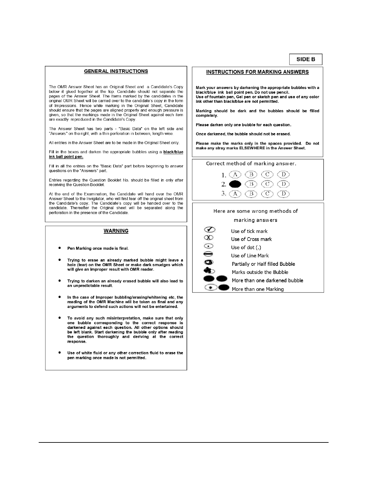#### SIDE B

#### **GENERAL INSTRUCTIONS**

The OMR Answer Sheet has an Original Sheet and a Candidate's Copy below it glued together at the top. Candidate should not separate the pages of the Answer Sheet. The Items marked by the candidates in the original OMR Sheet will be carried over to the candidate's copy in the form of Impressions. Hence while marking in the Original Sheet, Candidate should ensure that the pages are aligned properly and enough pressure is given, so that the markings made in the Original Sheet against each item are exactly reproduced in the Candidate's Copy.

The Answer Sheet has two parts - "Basic Data" on the left side and "Answers" on the right, with a thin perforation in between, length wise.

All entries in the Answer Sheet are to be made in the Original Sheet only.

Fill in the boxes and darken the appropriate bubbles using a **black/blue** ink ball point pen.

Fill in all the entries on the "Basic Data" part before beginning to answer questions on the "Answers" part.

Entries regarding the Question Booklet No. should be filled in only after receiving the Question Booklet.

At the end of the Examination, the Candidate will hand over the OMR Answer Sheet to the Invigilator, who will first tear off the original sheet from the Candidate's copy. The Candidate's copy will be handed over to the candidate. Thereafter the Original sheet will be separated along the perforation in the presence of the Candidate.

#### **WARNING**

- Pen Marking once made is final.
- Trying to erase an already marked bubble might leave a hole (tear) on the OMR Sheet or make dark smudges which will give an improper result with OMR reader.
- Trying to darken an already erased bubble will also lead to an unpredictable result.
- In the case of Improper bubbling/erasing/whitening etc, the reading of the OMR Machine will be taken as final and any arguments to defend such actions will not be entertained.
- To avoid any such misinterpretation, make sure that only one bubble corresponding to the correct response is<br>darkened against each question. All other options should be left blank. Start darkening the bubble only after reading the question thoroughly and deriving at the correct response.
- Use of white fluid or any other correction fluid to erase the pen marking once made is not permitted.

#### **INSTRUCTIONS FOR MARKING ANSWERS**

Mark your answers by darkening the appropriate bubbles with a black/blue ink ball point pen. Do not use pencil. Use of fountain pen, Gel pen or sketch pen and use of any color ink other than black/blue are not permitted.

Marking should be dark and the bubbles should be filled completely.

Please darken only one bubble for each question.

Once darkened, the bubble should not be erased.

Please make the marks only in the spaces provided. Do not make any stray marks ELSEWHERE in the Answer Sheet.

Correct method of marking answer.





Here are some wrong methods of marking answers Use of tick mark

Use of Cross mark Use of dot (.)

Use of Line Mark

Partially or Half filled Bubble

Marks outside the Bubble

More than one darkened bubble

More than one Marking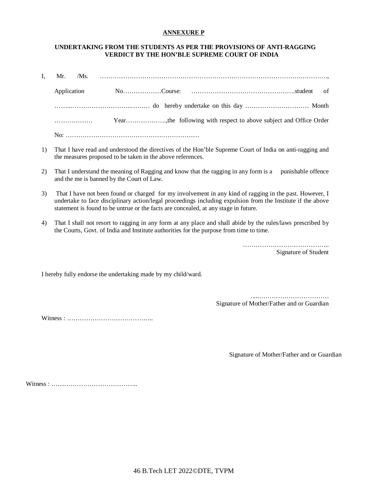# **ANNEXURE P**

# **UNDERTAKING FROM THE STUDENTS AS PER THE PROVISIONS OF ANTI-RAGGING VERDICT BY THE HON'BLE SUPREME COURT OF INDIA**

| I. |             |  |
|----|-------------|--|
|    | Application |  |
|    |             |  |
|    | .           |  |
|    |             |  |

- 1) That I have read and understood the directives of the Hon'ble Supreme Court of India on anti-ragging and the measures proposed to be taken in the above references.
- 2) That I understand the meaning of Ragging and know that the ragging in any form is a punishable offence and the me is banned by the Court of Law.
- 3) That I have not been found or charged for my involvement in any kind of ragging in the past. However, I undertake to face disciplinary action/legal proceedings including expulsion from the Institute if the above statement is found to be untrue or the facts are concealed, at any stage in future.
- 4) That I shall not resort to ragging in any form at any place and shall abide by the rules/laws prescribed by the Courts, Govt. of India and Institute authorities for the purpose from time to time.

………………………………….. Signature of Student

I hereby fully endorse the undertaking made by my child/ward.

.....…………………………… Signature of Mother/Father and or Guardian

Witness : …………………………………..

Signature of Mother/Father and or Guardian

Witness : …………………………………..